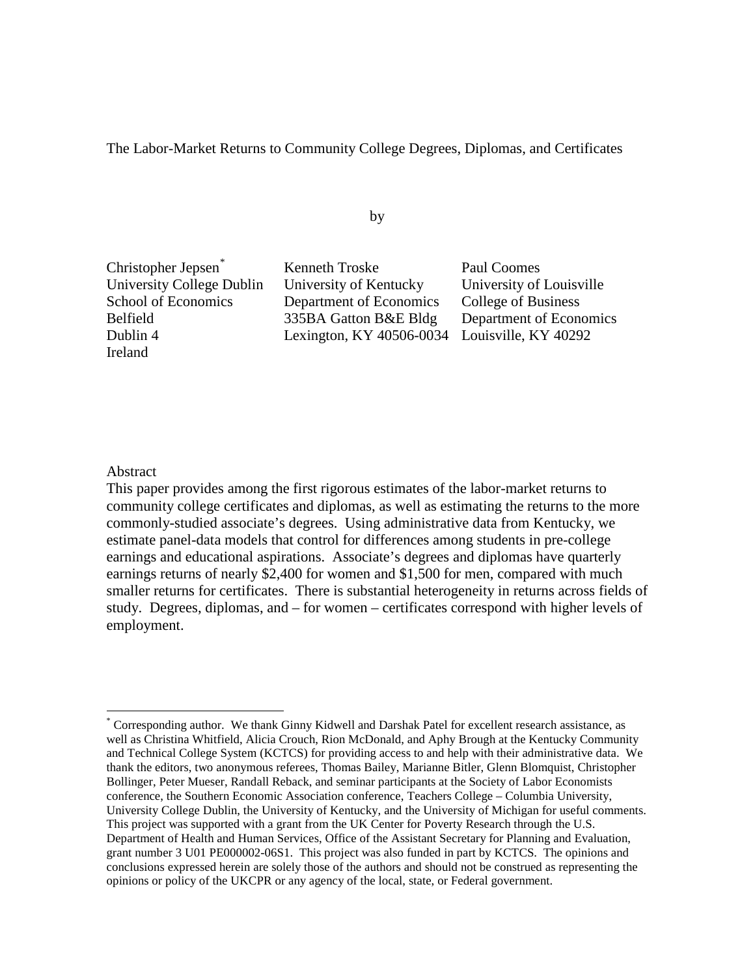# The Labor-Market Returns to Community College Degrees, Diplomas, and Certificates

by

Christopher Jepsen[\\*](#page-0-0) Kenneth Troske Paul Coomes Ireland

University College Dublin University of Kentucky University of Louisville School of Economics Department of Economics College of Business Belfield 335BA Gatton B&E Bldg Department of Economics Dublin 4 Lexington, KY 40506-0034 Louisville, KY 40292

#### Abstract

 $\overline{a}$ 

This paper provides among the first rigorous estimates of the labor-market returns to community college certificates and diplomas, as well as estimating the returns to the more commonly-studied associate's degrees. Using administrative data from Kentucky, we estimate panel-data models that control for differences among students in pre-college earnings and educational aspirations. Associate's degrees and diplomas have quarterly earnings returns of nearly \$2,400 for women and \$1,500 for men, compared with much smaller returns for certificates. There is substantial heterogeneity in returns across fields of study. Degrees, diplomas, and – for women – certificates correspond with higher levels of employment.

<span id="page-0-0"></span><sup>\*</sup> Corresponding author. We thank Ginny Kidwell and Darshak Patel for excellent research assistance, as well as Christina Whitfield, Alicia Crouch, Rion McDonald, and Aphy Brough at the Kentucky Community and Technical College System (KCTCS) for providing access to and help with their administrative data. We thank the editors, two anonymous referees, Thomas Bailey, Marianne Bitler, Glenn Blomquist, Christopher Bollinger, Peter Mueser, Randall Reback, and seminar participants at the Society of Labor Economists conference, the Southern Economic Association conference, Teachers College – Columbia University, University College Dublin, the University of Kentucky, and the University of Michigan for useful comments. This project was supported with a grant from the UK Center for Poverty Research through the U.S. Department of Health and Human Services, Office of the Assistant Secretary for Planning and Evaluation, grant number 3 U01 PE000002-06S1. This project was also funded in part by KCTCS. The opinions and conclusions expressed herein are solely those of the authors and should not be construed as representing the opinions or policy of the UKCPR or any agency of the local, state, or Federal government.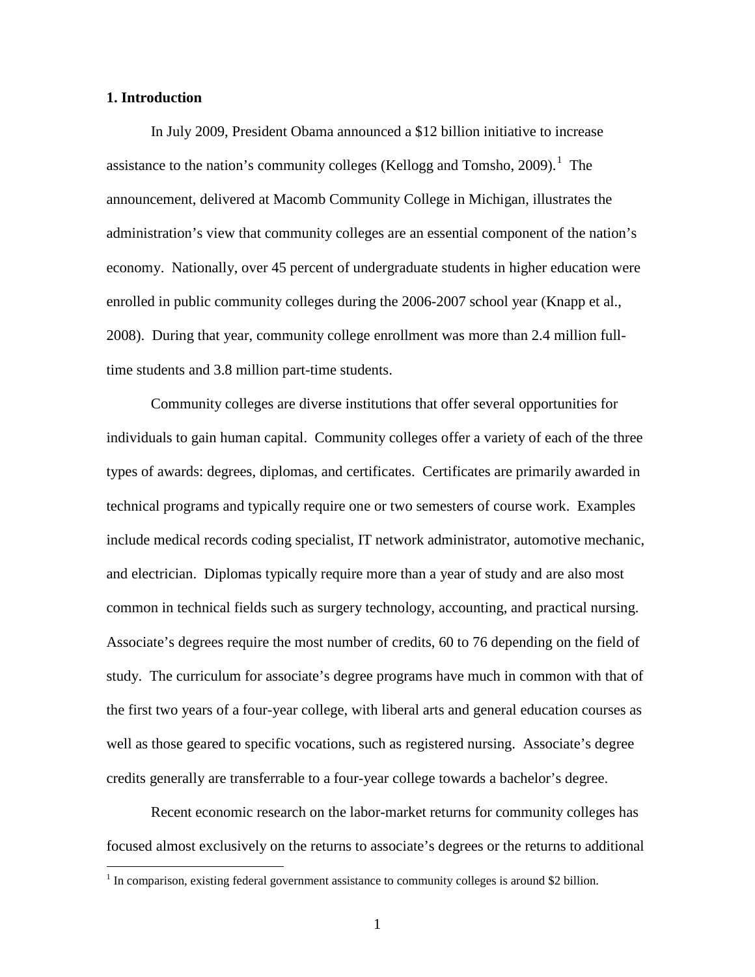# **1. Introduction**

 $\overline{a}$ 

In July 2009, President Obama announced a \$12 billion initiative to increase assistance to the nation's community colleges (Kellogg and Tomsho, 2009).<sup>[1](#page-1-0)</sup> The announcement, delivered at Macomb Community College in Michigan, illustrates the administration's view that community colleges are an essential component of the nation's economy. Nationally, over 45 percent of undergraduate students in higher education were enrolled in public community colleges during the 2006-2007 school year (Knapp et al., 2008). During that year, community college enrollment was more than 2.4 million fulltime students and 3.8 million part-time students.

Community colleges are diverse institutions that offer several opportunities for individuals to gain human capital. Community colleges offer a variety of each of the three types of awards: degrees, diplomas, and certificates. Certificates are primarily awarded in technical programs and typically require one or two semesters of course work. Examples include medical records coding specialist, IT network administrator, automotive mechanic, and electrician. Diplomas typically require more than a year of study and are also most common in technical fields such as surgery technology, accounting, and practical nursing. Associate's degrees require the most number of credits, 60 to 76 depending on the field of study. The curriculum for associate's degree programs have much in common with that of the first two years of a four-year college, with liberal arts and general education courses as well as those geared to specific vocations, such as registered nursing. Associate's degree credits generally are transferrable to a four-year college towards a bachelor's degree.

Recent economic research on the labor-market returns for community colleges has focused almost exclusively on the returns to associate's degrees or the returns to additional

<span id="page-1-0"></span><sup>&</sup>lt;sup>1</sup> In comparison, existing federal government assistance to community colleges is around \$2 billion.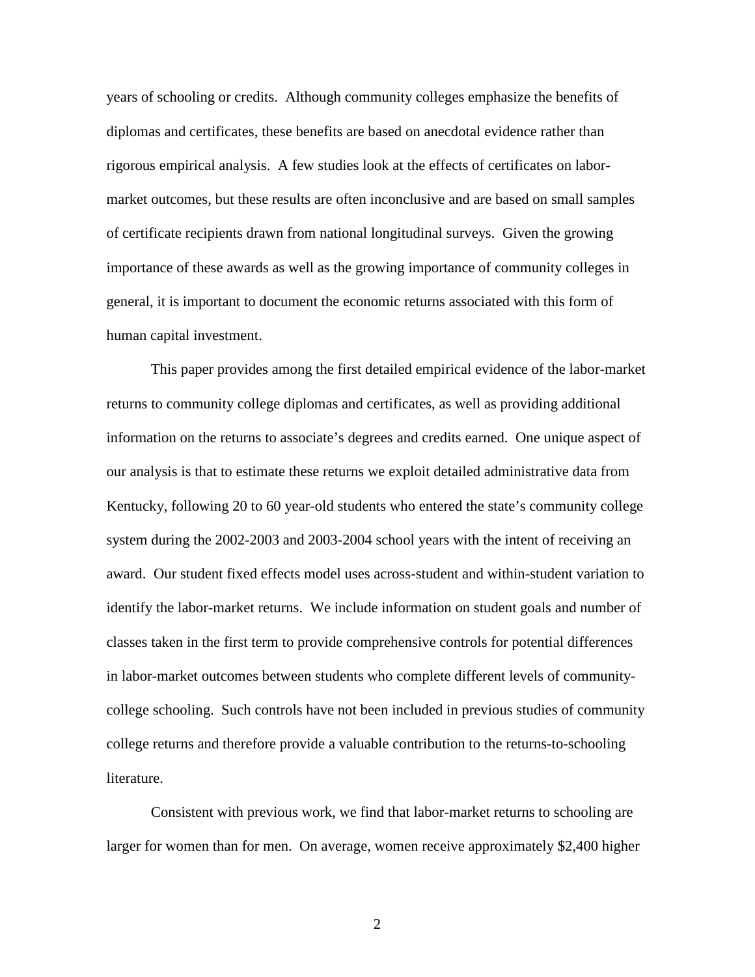years of schooling or credits. Although community colleges emphasize the benefits of diplomas and certificates, these benefits are based on anecdotal evidence rather than rigorous empirical analysis. A few studies look at the effects of certificates on labormarket outcomes, but these results are often inconclusive and are based on small samples of certificate recipients drawn from national longitudinal surveys. Given the growing importance of these awards as well as the growing importance of community colleges in general, it is important to document the economic returns associated with this form of human capital investment.

This paper provides among the first detailed empirical evidence of the labor-market returns to community college diplomas and certificates, as well as providing additional information on the returns to associate's degrees and credits earned. One unique aspect of our analysis is that to estimate these returns we exploit detailed administrative data from Kentucky, following 20 to 60 year-old students who entered the state's community college system during the 2002-2003 and 2003-2004 school years with the intent of receiving an award. Our student fixed effects model uses across-student and within-student variation to identify the labor-market returns. We include information on student goals and number of classes taken in the first term to provide comprehensive controls for potential differences in labor-market outcomes between students who complete different levels of communitycollege schooling. Such controls have not been included in previous studies of community college returns and therefore provide a valuable contribution to the returns-to-schooling literature.

Consistent with previous work, we find that labor-market returns to schooling are larger for women than for men. On average, women receive approximately \$2,400 higher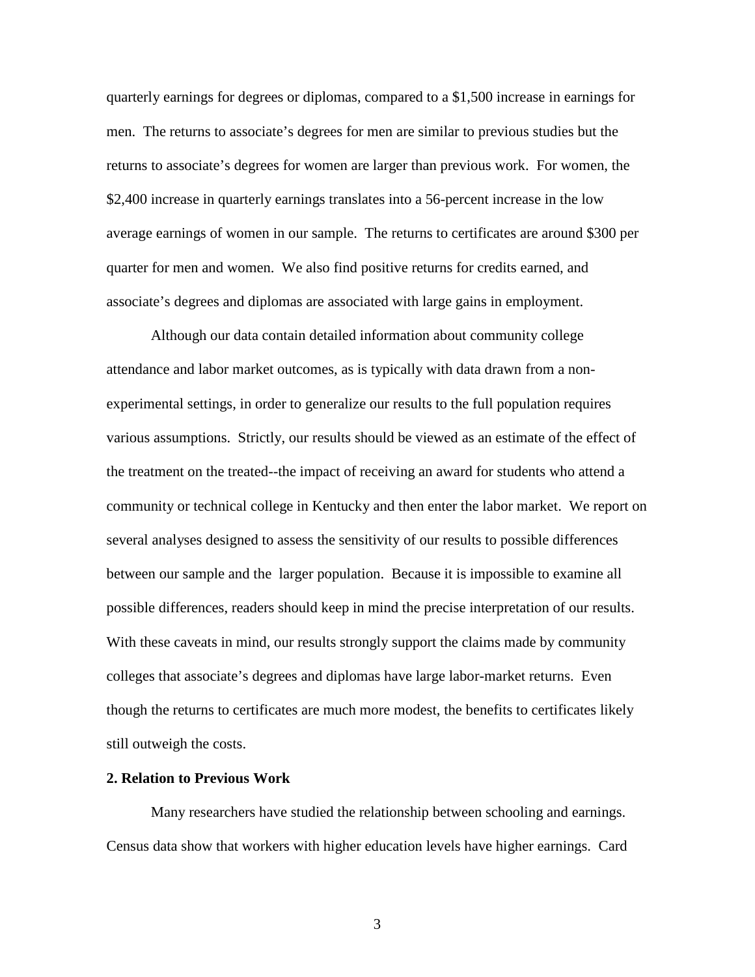quarterly earnings for degrees or diplomas, compared to a \$1,500 increase in earnings for men. The returns to associate's degrees for men are similar to previous studies but the returns to associate's degrees for women are larger than previous work. For women, the \$2,400 increase in quarterly earnings translates into a 56-percent increase in the low average earnings of women in our sample. The returns to certificates are around \$300 per quarter for men and women. We also find positive returns for credits earned, and associate's degrees and diplomas are associated with large gains in employment.

Although our data contain detailed information about community college attendance and labor market outcomes, as is typically with data drawn from a nonexperimental settings, in order to generalize our results to the full population requires various assumptions. Strictly, our results should be viewed as an estimate of the effect of the treatment on the treated--the impact of receiving an award for students who attend a community or technical college in Kentucky and then enter the labor market. We report on several analyses designed to assess the sensitivity of our results to possible differences between our sample and the larger population. Because it is impossible to examine all possible differences, readers should keep in mind the precise interpretation of our results. With these caveats in mind, our results strongly support the claims made by community colleges that associate's degrees and diplomas have large labor-market returns. Even though the returns to certificates are much more modest, the benefits to certificates likely still outweigh the costs.

#### **2. Relation to Previous Work**

Many researchers have studied the relationship between schooling and earnings. Census data show that workers with higher education levels have higher earnings. Card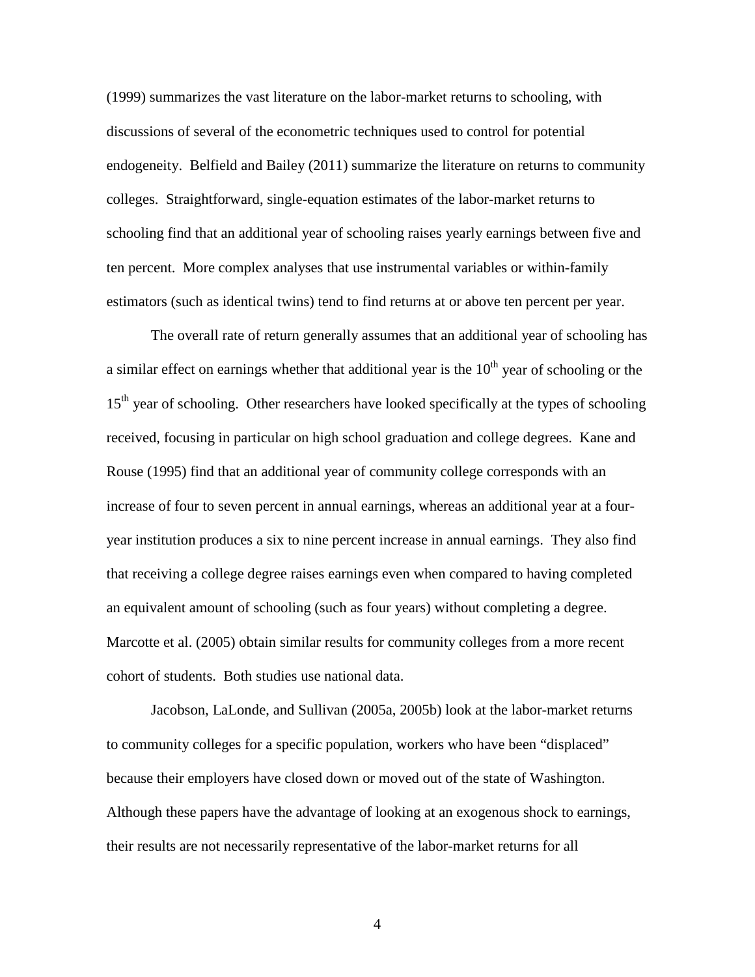(1999) summarizes the vast literature on the labor-market returns to schooling, with discussions of several of the econometric techniques used to control for potential endogeneity. Belfield and Bailey (2011) summarize the literature on returns to community colleges. Straightforward, single-equation estimates of the labor-market returns to schooling find that an additional year of schooling raises yearly earnings between five and ten percent. More complex analyses that use instrumental variables or within-family estimators (such as identical twins) tend to find returns at or above ten percent per year.

The overall rate of return generally assumes that an additional year of schooling has a similar effect on earnings whether that additional year is the  $10<sup>th</sup>$  year of schooling or the 15<sup>th</sup> year of schooling. Other researchers have looked specifically at the types of schooling received, focusing in particular on high school graduation and college degrees. Kane and Rouse (1995) find that an additional year of community college corresponds with an increase of four to seven percent in annual earnings, whereas an additional year at a fouryear institution produces a six to nine percent increase in annual earnings. They also find that receiving a college degree raises earnings even when compared to having completed an equivalent amount of schooling (such as four years) without completing a degree. Marcotte et al. (2005) obtain similar results for community colleges from a more recent cohort of students. Both studies use national data.

Jacobson, LaLonde, and Sullivan (2005a, 2005b) look at the labor-market returns to community colleges for a specific population, workers who have been "displaced" because their employers have closed down or moved out of the state of Washington. Although these papers have the advantage of looking at an exogenous shock to earnings, their results are not necessarily representative of the labor-market returns for all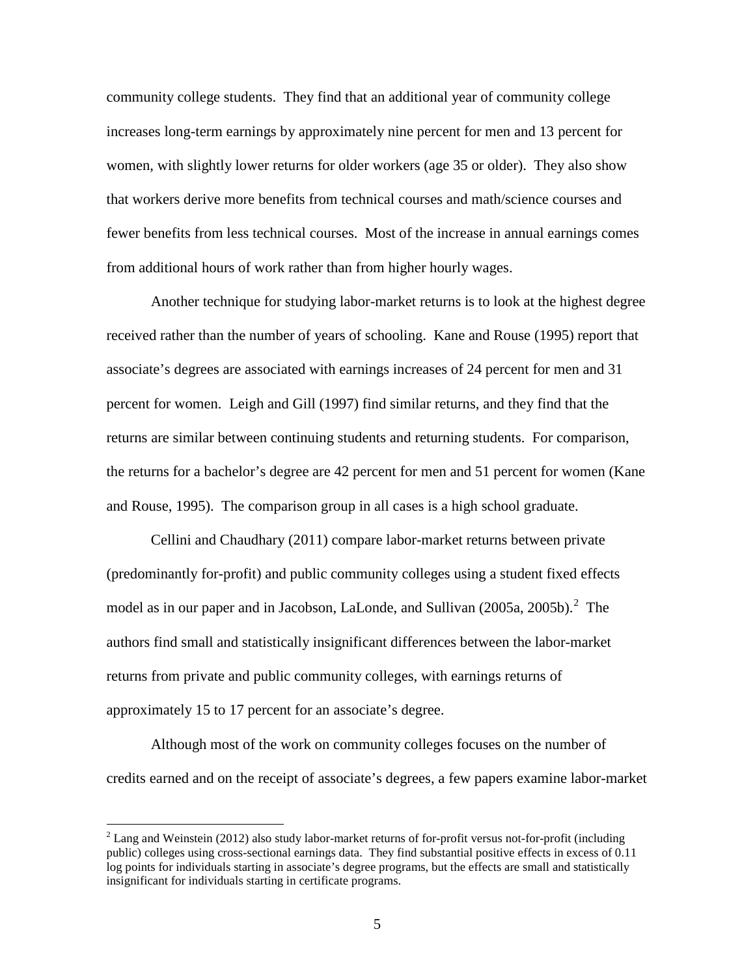community college students. They find that an additional year of community college increases long-term earnings by approximately nine percent for men and 13 percent for women, with slightly lower returns for older workers (age 35 or older). They also show that workers derive more benefits from technical courses and math/science courses and fewer benefits from less technical courses. Most of the increase in annual earnings comes from additional hours of work rather than from higher hourly wages.

Another technique for studying labor-market returns is to look at the highest degree received rather than the number of years of schooling. Kane and Rouse (1995) report that associate's degrees are associated with earnings increases of 24 percent for men and 31 percent for women. Leigh and Gill (1997) find similar returns, and they find that the returns are similar between continuing students and returning students. For comparison, the returns for a bachelor's degree are 42 percent for men and 51 percent for women (Kane and Rouse, 1995). The comparison group in all cases is a high school graduate.

Cellini and Chaudhary (2011) compare labor-market returns between private (predominantly for-profit) and public community colleges using a student fixed effects model as in our paper and in Jacobson, LaLonde, and Sullivan  $(2005a, 2005b)$  $(2005a, 2005b)$  $(2005a, 2005b)$ .<sup>2</sup> The authors find small and statistically insignificant differences between the labor-market returns from private and public community colleges, with earnings returns of approximately 15 to 17 percent for an associate's degree.

Although most of the work on community colleges focuses on the number of credits earned and on the receipt of associate's degrees, a few papers examine labor-market

<span id="page-5-0"></span> $2$  Lang and Weinstein (2012) also study labor-market returns of for-profit versus not-for-profit (including public) colleges using cross-sectional earnings data. They find substantial positive effects in excess of 0.11 log points for individuals starting in associate's degree programs, but the effects are small and statistically insignificant for individuals starting in certificate programs.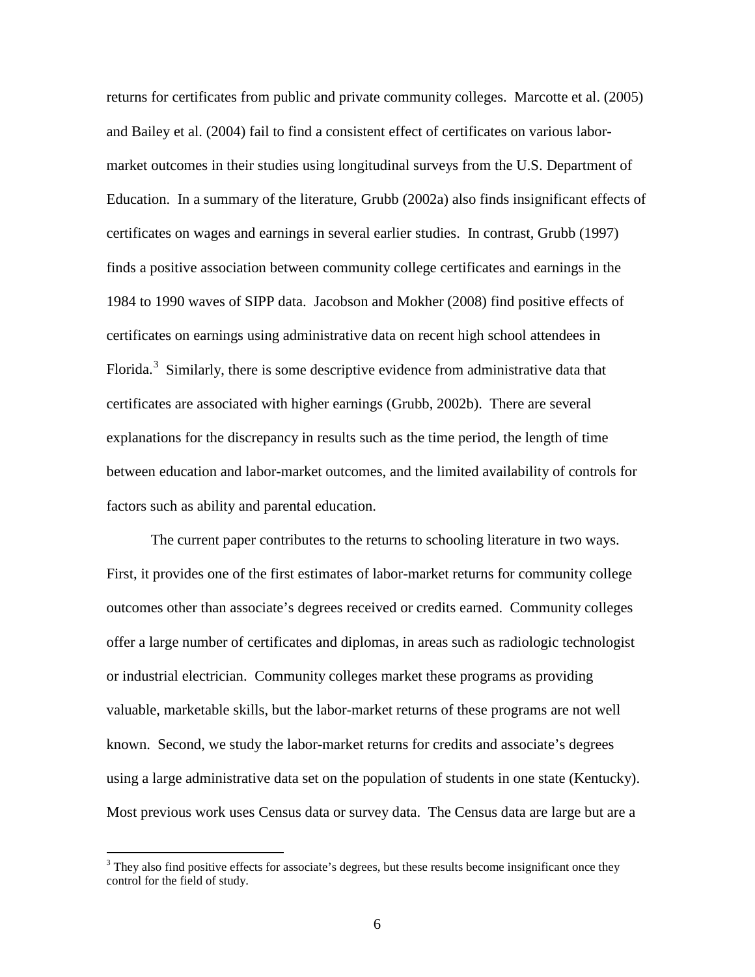returns for certificates from public and private community colleges. Marcotte et al. (2005) and Bailey et al. (2004) fail to find a consistent effect of certificates on various labormarket outcomes in their studies using longitudinal surveys from the U.S. Department of Education. In a summary of the literature, Grubb (2002a) also finds insignificant effects of certificates on wages and earnings in several earlier studies. In contrast, Grubb (1997) finds a positive association between community college certificates and earnings in the 1984 to 1990 waves of SIPP data. Jacobson and Mokher (2008) find positive effects of certificates on earnings using administrative data on recent high school attendees in Florida.<sup>[3](#page-6-0)</sup> Similarly, there is some descriptive evidence from administrative data that certificates are associated with higher earnings (Grubb, 2002b). There are several explanations for the discrepancy in results such as the time period, the length of time between education and labor-market outcomes, and the limited availability of controls for factors such as ability and parental education.

The current paper contributes to the returns to schooling literature in two ways. First, it provides one of the first estimates of labor-market returns for community college outcomes other than associate's degrees received or credits earned. Community colleges offer a large number of certificates and diplomas, in areas such as radiologic technologist or industrial electrician. Community colleges market these programs as providing valuable, marketable skills, but the labor-market returns of these programs are not well known. Second, we study the labor-market returns for credits and associate's degrees using a large administrative data set on the population of students in one state (Kentucky). Most previous work uses Census data or survey data. The Census data are large but are a

<span id="page-6-0"></span><sup>&</sup>lt;sup>3</sup> They also find positive effects for associate's degrees, but these results become insignificant once they control for the field of study.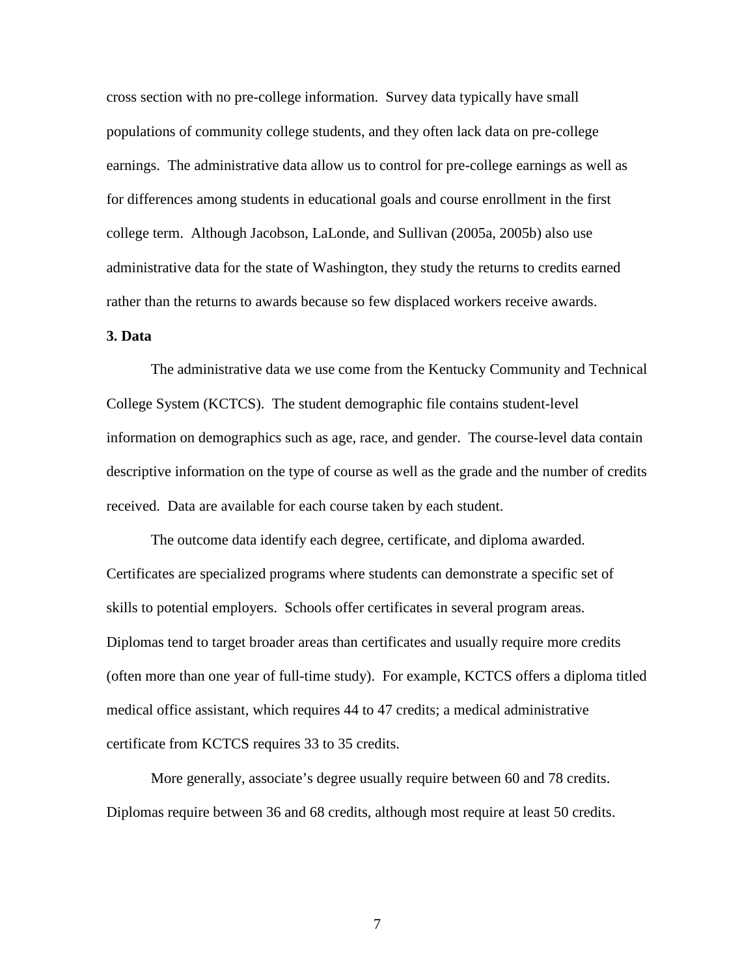cross section with no pre-college information. Survey data typically have small populations of community college students, and they often lack data on pre-college earnings. The administrative data allow us to control for pre-college earnings as well as for differences among students in educational goals and course enrollment in the first college term. Although Jacobson, LaLonde, and Sullivan (2005a, 2005b) also use administrative data for the state of Washington, they study the returns to credits earned rather than the returns to awards because so few displaced workers receive awards.

# **3. Data**

The administrative data we use come from the Kentucky Community and Technical College System (KCTCS). The student demographic file contains student-level information on demographics such as age, race, and gender. The course-level data contain descriptive information on the type of course as well as the grade and the number of credits received. Data are available for each course taken by each student.

The outcome data identify each degree, certificate, and diploma awarded. Certificates are specialized programs where students can demonstrate a specific set of skills to potential employers. Schools offer certificates in several program areas. Diplomas tend to target broader areas than certificates and usually require more credits (often more than one year of full-time study). For example, KCTCS offers a diploma titled medical office assistant, which requires 44 to 47 credits; a medical administrative certificate from KCTCS requires 33 to 35 credits.

More generally, associate's degree usually require between 60 and 78 credits. Diplomas require between 36 and 68 credits, although most require at least 50 credits.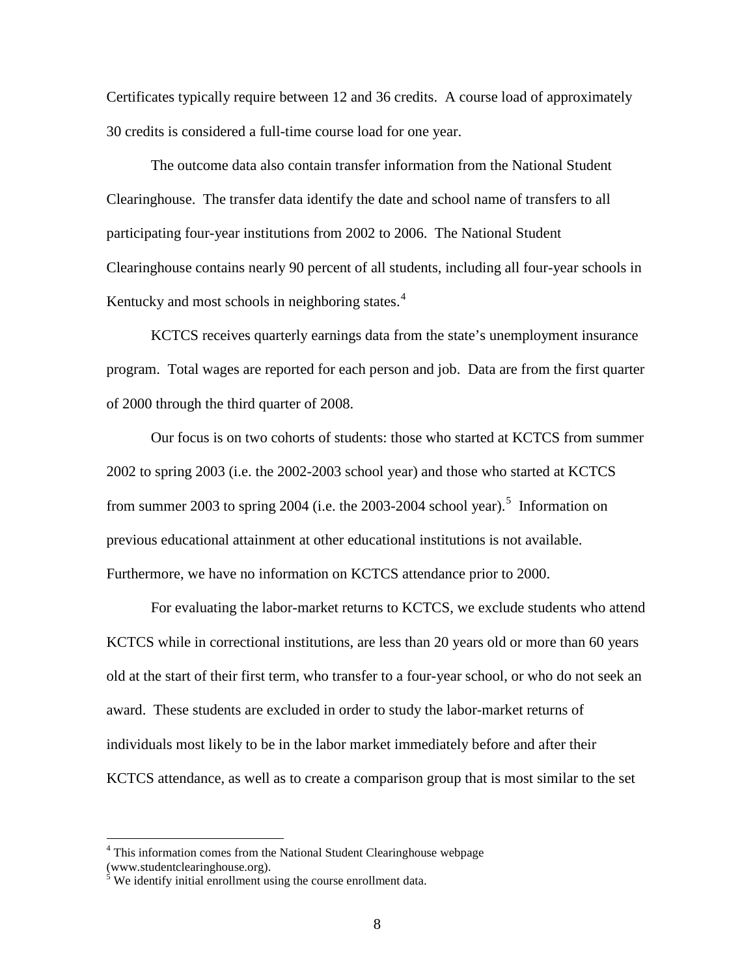Certificates typically require between 12 and 36 credits. A course load of approximately 30 credits is considered a full-time course load for one year.

The outcome data also contain transfer information from the National Student Clearinghouse. The transfer data identify the date and school name of transfers to all participating four-year institutions from 2002 to 2006. The National Student Clearinghouse contains nearly 90 percent of all students, including all four-year schools in Kentucky and most schools in neighboring states.<sup>[4](#page-8-0)</sup>

KCTCS receives quarterly earnings data from the state's unemployment insurance program. Total wages are reported for each person and job. Data are from the first quarter of 2000 through the third quarter of 2008.

Our focus is on two cohorts of students: those who started at KCTCS from summer 2002 to spring 2003 (i.e. the 2002-2003 school year) and those who started at KCTCS from summer 2003 to spring 2004 (i.e. the 2003-2004 school year).<sup>[5](#page-8-1)</sup> Information on previous educational attainment at other educational institutions is not available. Furthermore, we have no information on KCTCS attendance prior to 2000.

For evaluating the labor-market returns to KCTCS, we exclude students who attend KCTCS while in correctional institutions, are less than 20 years old or more than 60 years old at the start of their first term, who transfer to a four-year school, or who do not seek an award. These students are excluded in order to study the labor-market returns of individuals most likely to be in the labor market immediately before and after their KCTCS attendance, as well as to create a comparison group that is most similar to the set

<span id="page-8-0"></span><sup>&</sup>lt;sup>4</sup> This information comes from the National Student Clearinghouse webpage (www.studentclearinghouse.org).

<span id="page-8-1"></span> $<sup>5</sup>$  We identify initial enrollment using the course enrollment data.</sup>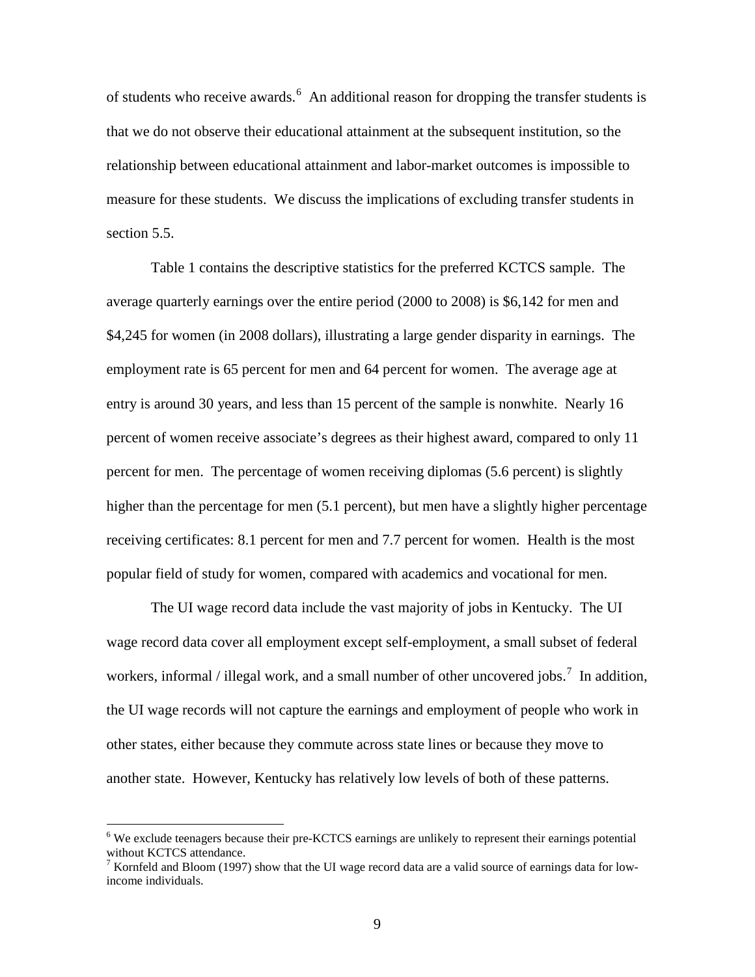of students who receive awards.<sup>[6](#page-9-0)</sup> An additional reason for dropping the transfer students is that we do not observe their educational attainment at the subsequent institution, so the relationship between educational attainment and labor-market outcomes is impossible to measure for these students. We discuss the implications of excluding transfer students in section 5.5.

Table 1 contains the descriptive statistics for the preferred KCTCS sample. The average quarterly earnings over the entire period (2000 to 2008) is \$6,142 for men and \$4,245 for women (in 2008 dollars), illustrating a large gender disparity in earnings. The employment rate is 65 percent for men and 64 percent for women. The average age at entry is around 30 years, and less than 15 percent of the sample is nonwhite. Nearly 16 percent of women receive associate's degrees as their highest award, compared to only 11 percent for men. The percentage of women receiving diplomas (5.6 percent) is slightly higher than the percentage for men (5.1 percent), but men have a slightly higher percentage receiving certificates: 8.1 percent for men and 7.7 percent for women. Health is the most popular field of study for women, compared with academics and vocational for men.

The UI wage record data include the vast majority of jobs in Kentucky. The UI wage record data cover all employment except self-employment, a small subset of federal workers, informal / illegal work, and a small number of other uncovered jobs.<sup>[7](#page-9-1)</sup> In addition, the UI wage records will not capture the earnings and employment of people who work in other states, either because they commute across state lines or because they move to another state. However, Kentucky has relatively low levels of both of these patterns.

<span id="page-9-0"></span><sup>&</sup>lt;sup>6</sup> We exclude teenagers because their pre-KCTCS earnings are unlikely to represent their earnings potential without KCTCS attendance.

<span id="page-9-1"></span> $\frac{7}{1}$  Kornfeld and Bloom (1997) show that the UI wage record data are a valid source of earnings data for lowincome individuals.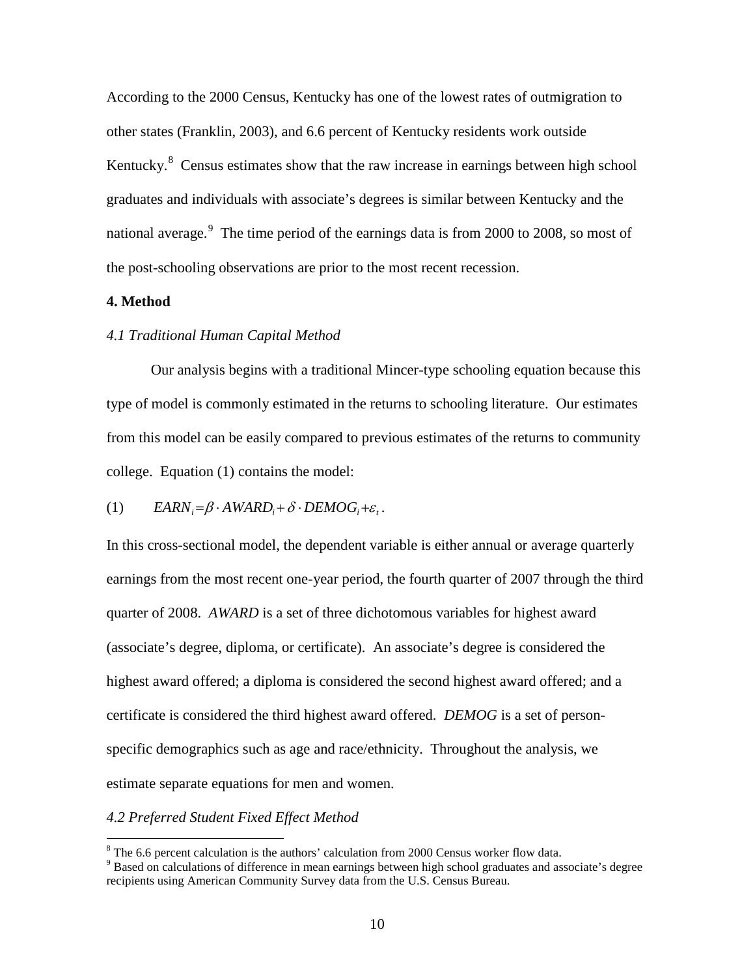According to the 2000 Census, Kentucky has one of the lowest rates of outmigration to other states (Franklin, 2003), and 6.6 percent of Kentucky residents work outside Kentucky.<sup>[8](#page-10-0)</sup> Census estimates show that the raw increase in earnings between high school graduates and individuals with associate's degrees is similar between Kentucky and the national average.<sup>[9](#page-10-1)</sup> The time period of the earnings data is from 2000 to 2008, so most of the post-schooling observations are prior to the most recent recession.

# **4. Method**

# *4.1 Traditional Human Capital Method*

Our analysis begins with a traditional Mincer-type schooling equation because this type of model is commonly estimated in the returns to schooling literature. Our estimates from this model can be easily compared to previous estimates of the returns to community college. Equation (1) contains the model:

# (1)  $EARN_i = \beta \cdot AWARD_i + \delta \cdot DEMOG_i + \varepsilon_t$ .

In this cross-sectional model, the dependent variable is either annual or average quarterly earnings from the most recent one-year period, the fourth quarter of 2007 through the third quarter of 2008. *AWARD* is a set of three dichotomous variables for highest award (associate's degree, diploma, or certificate). An associate's degree is considered the highest award offered; a diploma is considered the second highest award offered; and a certificate is considered the third highest award offered. *DEMOG* is a set of personspecific demographics such as age and race/ethnicity. Throughout the analysis, we estimate separate equations for men and women.

### *4.2 Preferred Student Fixed Effect Method*

<span id="page-10-0"></span> $8$  The 6.6 percent calculation is the authors' calculation from 2000 Census worker flow data.

<span id="page-10-1"></span><sup>9</sup> Based on calculations of difference in mean earnings between high school graduates and associate's degree recipients using American Community Survey data from the U.S. Census Bureau.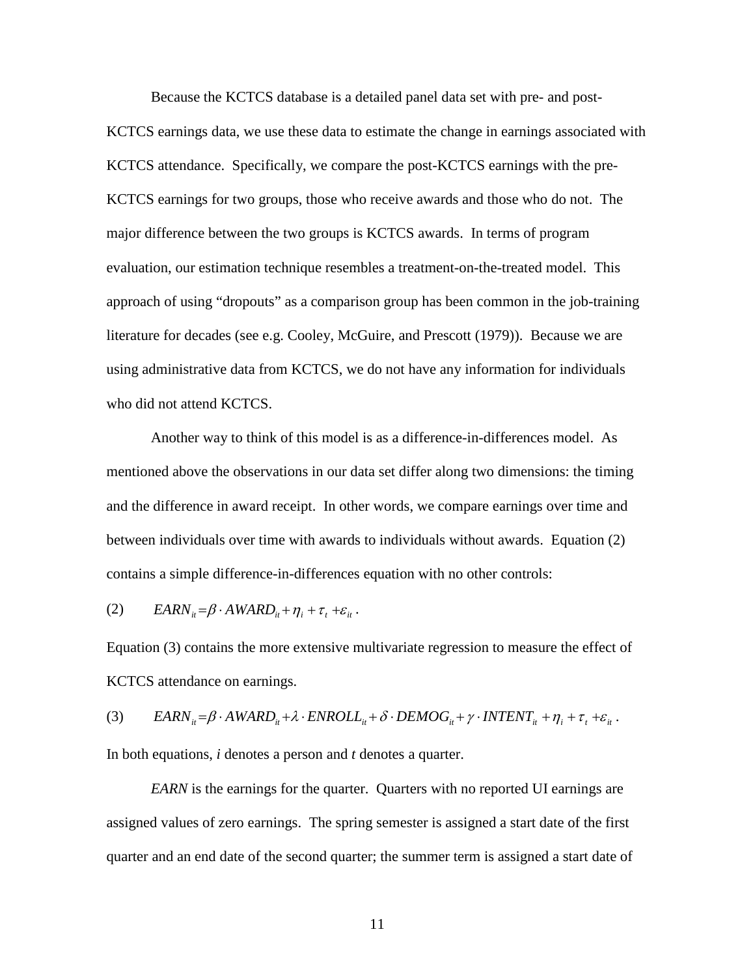Because the KCTCS database is a detailed panel data set with pre- and post-KCTCS earnings data, we use these data to estimate the change in earnings associated with KCTCS attendance. Specifically, we compare the post-KCTCS earnings with the pre-KCTCS earnings for two groups, those who receive awards and those who do not. The major difference between the two groups is KCTCS awards. In terms of program evaluation, our estimation technique resembles a treatment-on-the-treated model. This approach of using "dropouts" as a comparison group has been common in the job-training literature for decades (see e.g. Cooley, McGuire, and Prescott (1979)). Because we are using administrative data from KCTCS, we do not have any information for individuals who did not attend KCTCS.

Another way to think of this model is as a difference-in-differences model. As mentioned above the observations in our data set differ along two dimensions: the timing and the difference in award receipt. In other words, we compare earnings over time and between individuals over time with awards to individuals without awards. Equation (2) contains a simple difference-in-differences equation with no other controls:

(2)  $EARN_{it} = \beta \cdot AWARD_{it} + \eta_i + \tau_i + \varepsilon_{it}.$ 

Equation (3) contains the more extensive multivariate regression to measure the effect of KCTCS attendance on earnings.

(3)  $EARN_{ii} = \beta \cdot AWARD_{ii} + \lambda \cdot ENROL_{ii} + \delta \cdot DEMOG_{ii} + \gamma \cdot INTENT_{ii} + \eta_i + \tau_i + \varepsilon_{ii}$ .

In both equations, *i* denotes a person and *t* denotes a quarter.

*EARN* is the earnings for the quarter. Quarters with no reported UI earnings are assigned values of zero earnings. The spring semester is assigned a start date of the first quarter and an end date of the second quarter; the summer term is assigned a start date of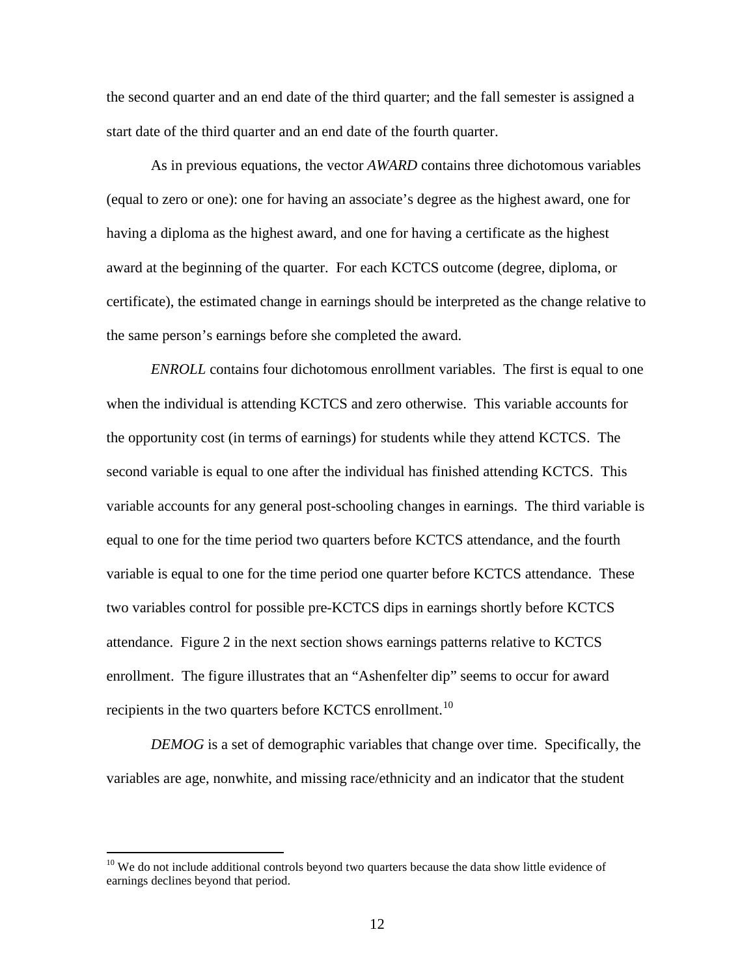the second quarter and an end date of the third quarter; and the fall semester is assigned a start date of the third quarter and an end date of the fourth quarter.

As in previous equations, the vector *AWARD* contains three dichotomous variables (equal to zero or one): one for having an associate's degree as the highest award, one for having a diploma as the highest award, and one for having a certificate as the highest award at the beginning of the quarter. For each KCTCS outcome (degree, diploma, or certificate), the estimated change in earnings should be interpreted as the change relative to the same person's earnings before she completed the award.

*ENROLL* contains four dichotomous enrollment variables. The first is equal to one when the individual is attending KCTCS and zero otherwise. This variable accounts for the opportunity cost (in terms of earnings) for students while they attend KCTCS. The second variable is equal to one after the individual has finished attending KCTCS. This variable accounts for any general post-schooling changes in earnings. The third variable is equal to one for the time period two quarters before KCTCS attendance, and the fourth variable is equal to one for the time period one quarter before KCTCS attendance. These two variables control for possible pre-KCTCS dips in earnings shortly before KCTCS attendance. Figure 2 in the next section shows earnings patterns relative to KCTCS enrollment. The figure illustrates that an "Ashenfelter dip" seems to occur for award recipients in the two quarters before KCTCS enrollment.<sup>[10](#page-12-0)</sup>

*DEMOG* is a set of demographic variables that change over time. Specifically, the variables are age, nonwhite, and missing race/ethnicity and an indicator that the student

<span id="page-12-0"></span> $10$  We do not include additional controls beyond two quarters because the data show little evidence of earnings declines beyond that period.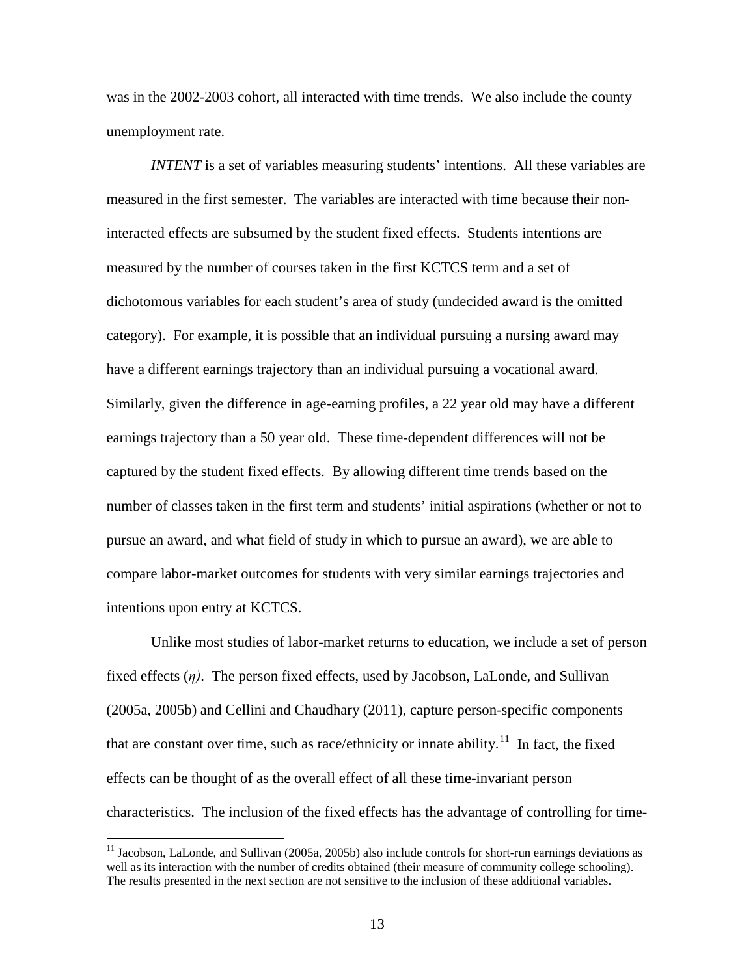was in the 2002-2003 cohort, all interacted with time trends. We also include the county unemployment rate.

*INTENT* is a set of variables measuring students' intentions. All these variables are measured in the first semester. The variables are interacted with time because their noninteracted effects are subsumed by the student fixed effects. Students intentions are measured by the number of courses taken in the first KCTCS term and a set of dichotomous variables for each student's area of study (undecided award is the omitted category). For example, it is possible that an individual pursuing a nursing award may have a different earnings trajectory than an individual pursuing a vocational award. Similarly, given the difference in age-earning profiles, a 22 year old may have a different earnings trajectory than a 50 year old. These time-dependent differences will not be captured by the student fixed effects. By allowing different time trends based on the number of classes taken in the first term and students' initial aspirations (whether or not to pursue an award, and what field of study in which to pursue an award), we are able to compare labor-market outcomes for students with very similar earnings trajectories and intentions upon entry at KCTCS.

Unlike most studies of labor-market returns to education, we include a set of person fixed effects (*η)*. The person fixed effects, used by Jacobson, LaLonde, and Sullivan (2005a, 2005b) and Cellini and Chaudhary (2011), capture person-specific components that are constant over time, such as race/ethnicity or innate ability. $11$  In fact, the fixed effects can be thought of as the overall effect of all these time-invariant person characteristics. The inclusion of the fixed effects has the advantage of controlling for time-

<span id="page-13-0"></span><sup>&</sup>lt;sup>11</sup> Jacobson, LaLonde, and Sullivan (2005a, 2005b) also include controls for short-run earnings deviations as well as its interaction with the number of credits obtained (their measure of community college schooling). The results presented in the next section are not sensitive to the inclusion of these additional variables.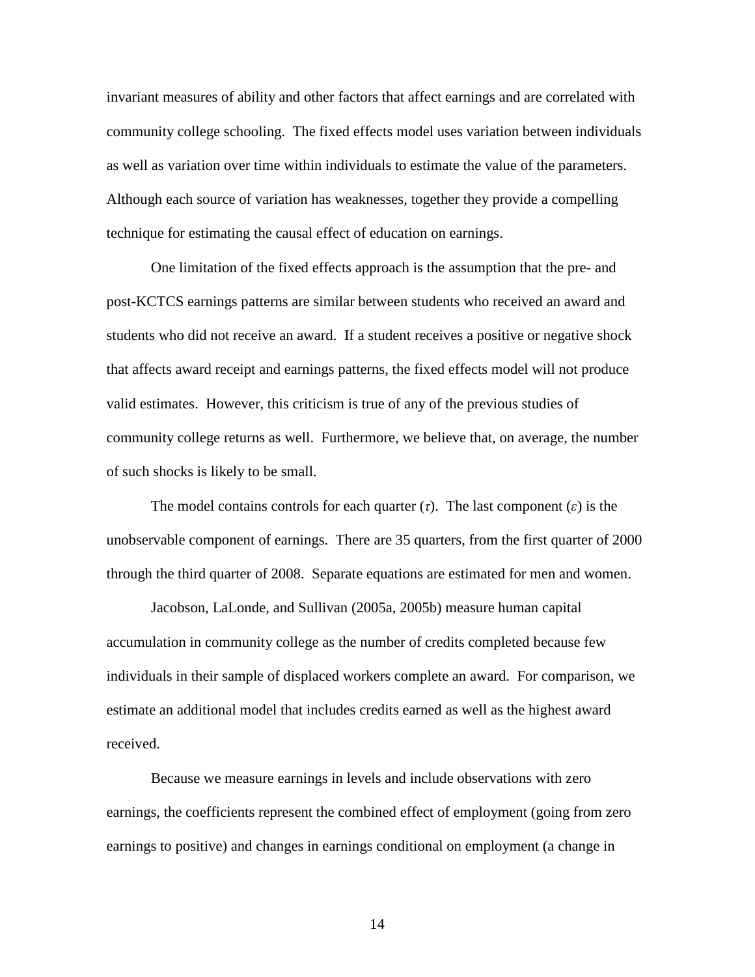invariant measures of ability and other factors that affect earnings and are correlated with community college schooling. The fixed effects model uses variation between individuals as well as variation over time within individuals to estimate the value of the parameters. Although each source of variation has weaknesses, together they provide a compelling technique for estimating the causal effect of education on earnings.

One limitation of the fixed effects approach is the assumption that the pre- and post-KCTCS earnings patterns are similar between students who received an award and students who did not receive an award. If a student receives a positive or negative shock that affects award receipt and earnings patterns, the fixed effects model will not produce valid estimates. However, this criticism is true of any of the previous studies of community college returns as well. Furthermore, we believe that, on average, the number of such shocks is likely to be small.

The model contains controls for each quarter  $(τ)$ . The last component  $(ε)$  is the unobservable component of earnings. There are 35 quarters, from the first quarter of 2000 through the third quarter of 2008. Separate equations are estimated for men and women.

Jacobson, LaLonde, and Sullivan (2005a, 2005b) measure human capital accumulation in community college as the number of credits completed because few individuals in their sample of displaced workers complete an award. For comparison, we estimate an additional model that includes credits earned as well as the highest award received.

Because we measure earnings in levels and include observations with zero earnings, the coefficients represent the combined effect of employment (going from zero earnings to positive) and changes in earnings conditional on employment (a change in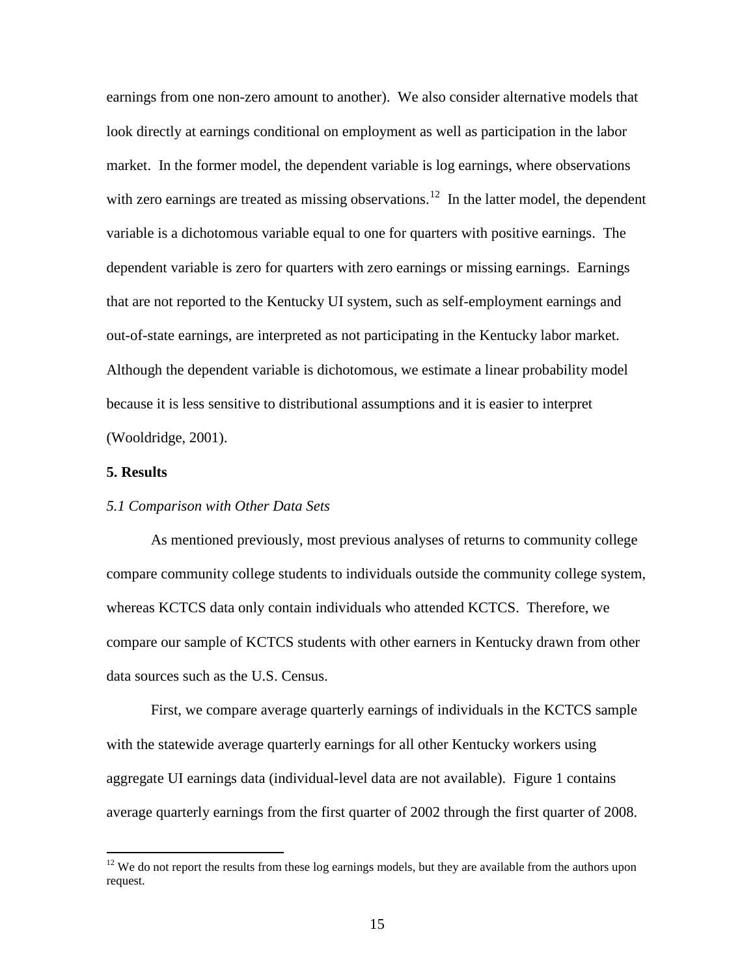earnings from one non-zero amount to another). We also consider alternative models that look directly at earnings conditional on employment as well as participation in the labor market. In the former model, the dependent variable is log earnings, where observations with zero earnings are treated as missing observations.<sup>[12](#page-15-0)</sup> In the latter model, the dependent variable is a dichotomous variable equal to one for quarters with positive earnings. The dependent variable is zero for quarters with zero earnings or missing earnings. Earnings that are not reported to the Kentucky UI system, such as self-employment earnings and out-of-state earnings, are interpreted as not participating in the Kentucky labor market. Although the dependent variable is dichotomous, we estimate a linear probability model because it is less sensitive to distributional assumptions and it is easier to interpret (Wooldridge, 2001).

# **5. Results**

 $\overline{a}$ 

# *5.1 Comparison with Other Data Sets*

As mentioned previously, most previous analyses of returns to community college compare community college students to individuals outside the community college system, whereas KCTCS data only contain individuals who attended KCTCS. Therefore, we compare our sample of KCTCS students with other earners in Kentucky drawn from other data sources such as the U.S. Census.

First, we compare average quarterly earnings of individuals in the KCTCS sample with the statewide average quarterly earnings for all other Kentucky workers using aggregate UI earnings data (individual-level data are not available). Figure 1 contains average quarterly earnings from the first quarter of 2002 through the first quarter of 2008.

<span id="page-15-0"></span> $12$  We do not report the results from these log earnings models, but they are available from the authors upon request.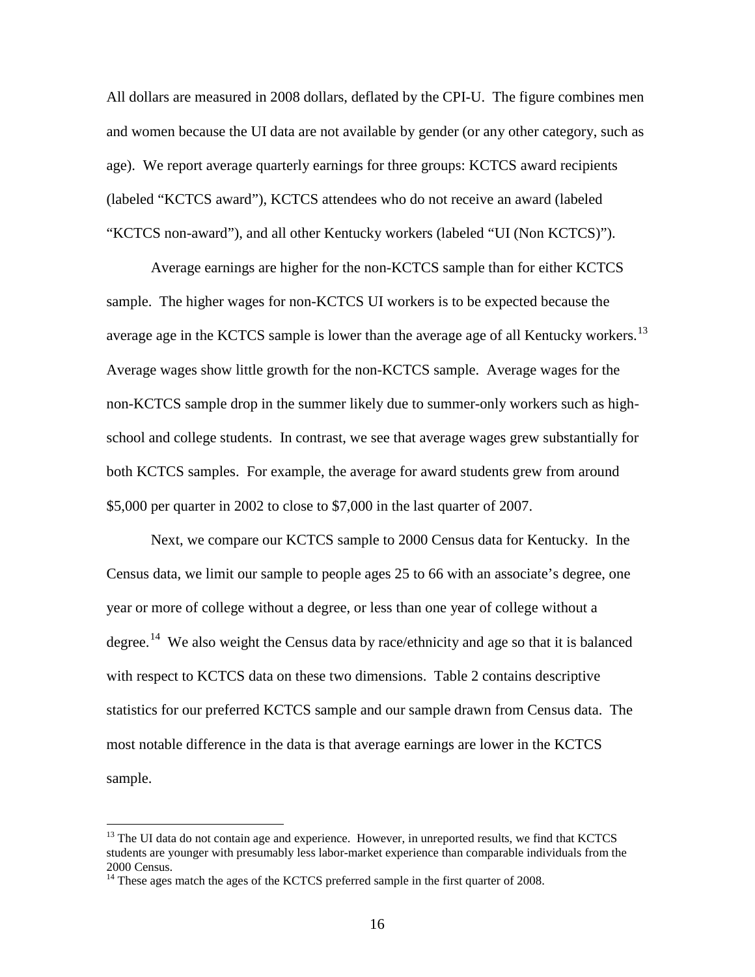All dollars are measured in 2008 dollars, deflated by the CPI-U. The figure combines men and women because the UI data are not available by gender (or any other category, such as age). We report average quarterly earnings for three groups: KCTCS award recipients (labeled "KCTCS award"), KCTCS attendees who do not receive an award (labeled "KCTCS non-award"), and all other Kentucky workers (labeled "UI (Non KCTCS)").

Average earnings are higher for the non-KCTCS sample than for either KCTCS sample. The higher wages for non-KCTCS UI workers is to be expected because the average age in the KCTCS sample is lower than the average age of all Kentucky workers.<sup>13</sup> Average wages show little growth for the non-KCTCS sample. Average wages for the non-KCTCS sample drop in the summer likely due to summer-only workers such as highschool and college students. In contrast, we see that average wages grew substantially for both KCTCS samples. For example, the average for award students grew from around \$5,000 per quarter in 2002 to close to \$7,000 in the last quarter of 2007.

Next, we compare our KCTCS sample to 2000 Census data for Kentucky. In the Census data, we limit our sample to people ages 25 to 66 with an associate's degree, one year or more of college without a degree, or less than one year of college without a degree.<sup>[14](#page-16-1)</sup> We also weight the Census data by race/ethnicity and age so that it is balanced with respect to KCTCS data on these two dimensions. Table 2 contains descriptive statistics for our preferred KCTCS sample and our sample drawn from Census data. The most notable difference in the data is that average earnings are lower in the KCTCS sample.

<span id="page-16-0"></span> $<sup>13</sup>$  The UI data do not contain age and experience. However, in unreported results, we find that KCTCS</sup> students are younger with presumably less labor-market experience than comparable individuals from the 2000 Census.

<span id="page-16-1"></span><sup>&</sup>lt;sup>14</sup> These ages match the ages of the KCTCS preferred sample in the first quarter of 2008.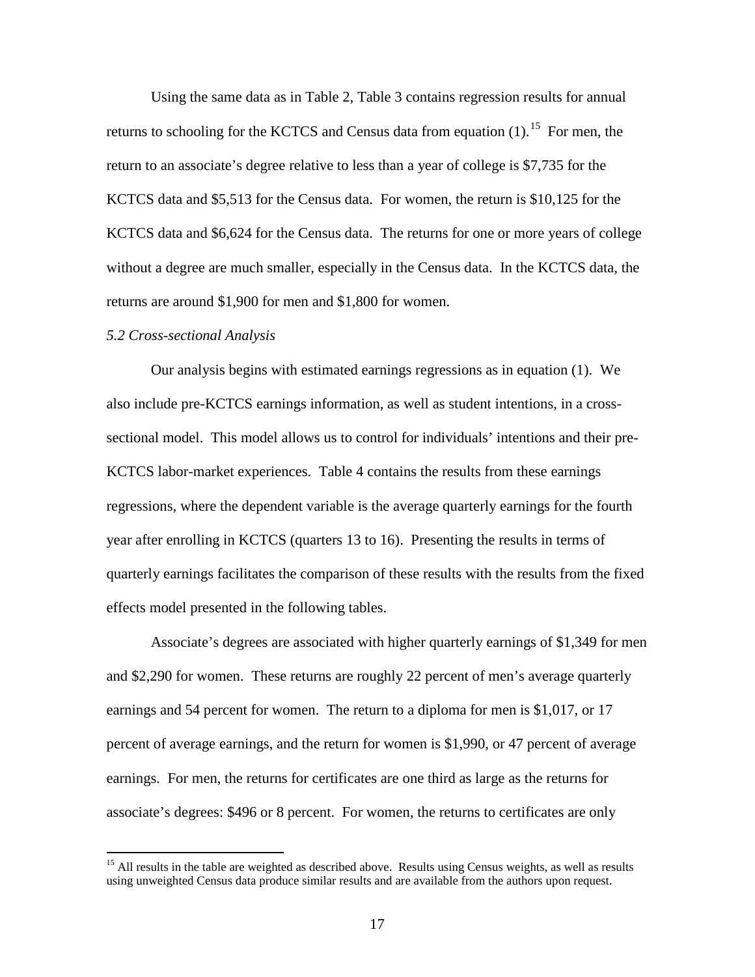Using the same data as in Table 2, Table 3 contains regression results for annual returns to schooling for the KCTCS and Census data from equation  $(1)$ .<sup>[15](#page-17-0)</sup> For men, the return to an associate's degree relative to less than a year of college is \$7,735 for the KCTCS data and \$5,513 for the Census data. For women, the return is \$10,125 for the KCTCS data and \$6,624 for the Census data. The returns for one or more years of college without a degree are much smaller, especially in the Census data. In the KCTCS data, the returns are around \$1,900 for men and \$1,800 for women.

#### *5.2 Cross-sectional Analysis*

 $\overline{a}$ 

Our analysis begins with estimated earnings regressions as in equation (1). We also include pre-KCTCS earnings information, as well as student intentions, in a crosssectional model. This model allows us to control for individuals' intentions and their pre-KCTCS labor-market experiences. Table 4 contains the results from these earnings regressions, where the dependent variable is the average quarterly earnings for the fourth year after enrolling in KCTCS (quarters 13 to 16). Presenting the results in terms of quarterly earnings facilitates the comparison of these results with the results from the fixed effects model presented in the following tables.

Associate's degrees are associated with higher quarterly earnings of \$1,349 for men and \$2,290 for women. These returns are roughly 22 percent of men's average quarterly earnings and 54 percent for women. The return to a diploma for men is \$1,017, or 17 percent of average earnings, and the return for women is \$1,990, or 47 percent of average earnings. For men, the returns for certificates are one third as large as the returns for associate's degrees: \$496 or 8 percent. For women, the returns to certificates are only

<span id="page-17-0"></span><sup>&</sup>lt;sup>15</sup> All results in the table are weighted as described above. Results using Census weights, as well as results using unweighted Census data produce similar results and are available from the authors upon request.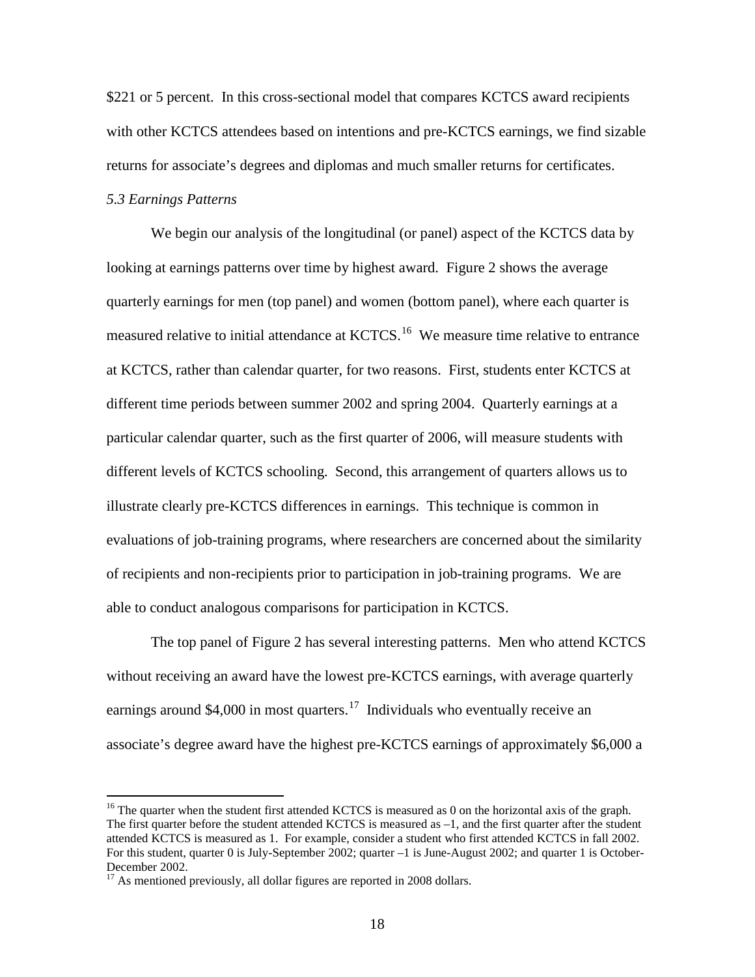\$221 or 5 percent. In this cross-sectional model that compares KCTCS award recipients with other KCTCS attendees based on intentions and pre-KCTCS earnings, we find sizable returns for associate's degrees and diplomas and much smaller returns for certificates.

# *5.3 Earnings Patterns*

 $\overline{a}$ 

We begin our analysis of the longitudinal (or panel) aspect of the KCTCS data by looking at earnings patterns over time by highest award. Figure 2 shows the average quarterly earnings for men (top panel) and women (bottom panel), where each quarter is measured relative to initial attendance at KCTCS.<sup>16</sup> We measure time relative to entrance at KCTCS, rather than calendar quarter, for two reasons. First, students enter KCTCS at different time periods between summer 2002 and spring 2004. Quarterly earnings at a particular calendar quarter, such as the first quarter of 2006, will measure students with different levels of KCTCS schooling. Second, this arrangement of quarters allows us to illustrate clearly pre-KCTCS differences in earnings. This technique is common in evaluations of job-training programs, where researchers are concerned about the similarity of recipients and non-recipients prior to participation in job-training programs. We are able to conduct analogous comparisons for participation in KCTCS.

The top panel of Figure 2 has several interesting patterns. Men who attend KCTCS without receiving an award have the lowest pre-KCTCS earnings, with average quarterly earnings around \$4,000 in most quarters.<sup>[17](#page-18-1)</sup> Individuals who eventually receive an associate's degree award have the highest pre-KCTCS earnings of approximately \$6,000 a

<span id="page-18-0"></span><sup>&</sup>lt;sup>16</sup> The quarter when the student first attended KCTCS is measured as 0 on the horizontal axis of the graph. The first quarter before the student attended KCTCS is measured as –1, and the first quarter after the student attended KCTCS is measured as 1. For example, consider a student who first attended KCTCS in fall 2002. For this student, quarter 0 is July-September 2002; quarter –1 is June-August 2002; and quarter 1 is October-December 2002.

<span id="page-18-1"></span> $17$  As mentioned previously, all dollar figures are reported in 2008 dollars.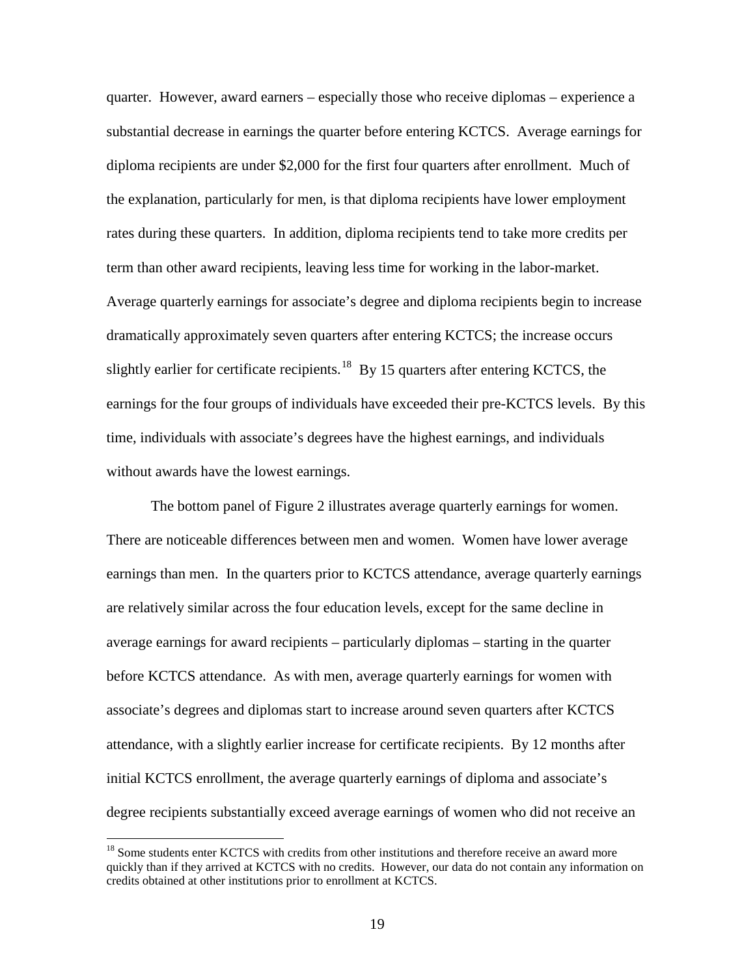quarter. However, award earners – especially those who receive diplomas – experience a substantial decrease in earnings the quarter before entering KCTCS. Average earnings for diploma recipients are under \$2,000 for the first four quarters after enrollment. Much of the explanation, particularly for men, is that diploma recipients have lower employment rates during these quarters. In addition, diploma recipients tend to take more credits per term than other award recipients, leaving less time for working in the labor-market. Average quarterly earnings for associate's degree and diploma recipients begin to increase dramatically approximately seven quarters after entering KCTCS; the increase occurs slightly earlier for certificate recipients.<sup>[18](#page-19-0)</sup> By 15 quarters after entering KCTCS, the earnings for the four groups of individuals have exceeded their pre-KCTCS levels. By this time, individuals with associate's degrees have the highest earnings, and individuals without awards have the lowest earnings.

The bottom panel of Figure 2 illustrates average quarterly earnings for women. There are noticeable differences between men and women. Women have lower average earnings than men. In the quarters prior to KCTCS attendance, average quarterly earnings are relatively similar across the four education levels, except for the same decline in average earnings for award recipients – particularly diplomas – starting in the quarter before KCTCS attendance. As with men, average quarterly earnings for women with associate's degrees and diplomas start to increase around seven quarters after KCTCS attendance, with a slightly earlier increase for certificate recipients. By 12 months after initial KCTCS enrollment, the average quarterly earnings of diploma and associate's degree recipients substantially exceed average earnings of women who did not receive an

<span id="page-19-0"></span><sup>&</sup>lt;sup>18</sup> Some students enter KCTCS with credits from other institutions and therefore receive an award more quickly than if they arrived at KCTCS with no credits. However, our data do not contain any information on credits obtained at other institutions prior to enrollment at KCTCS.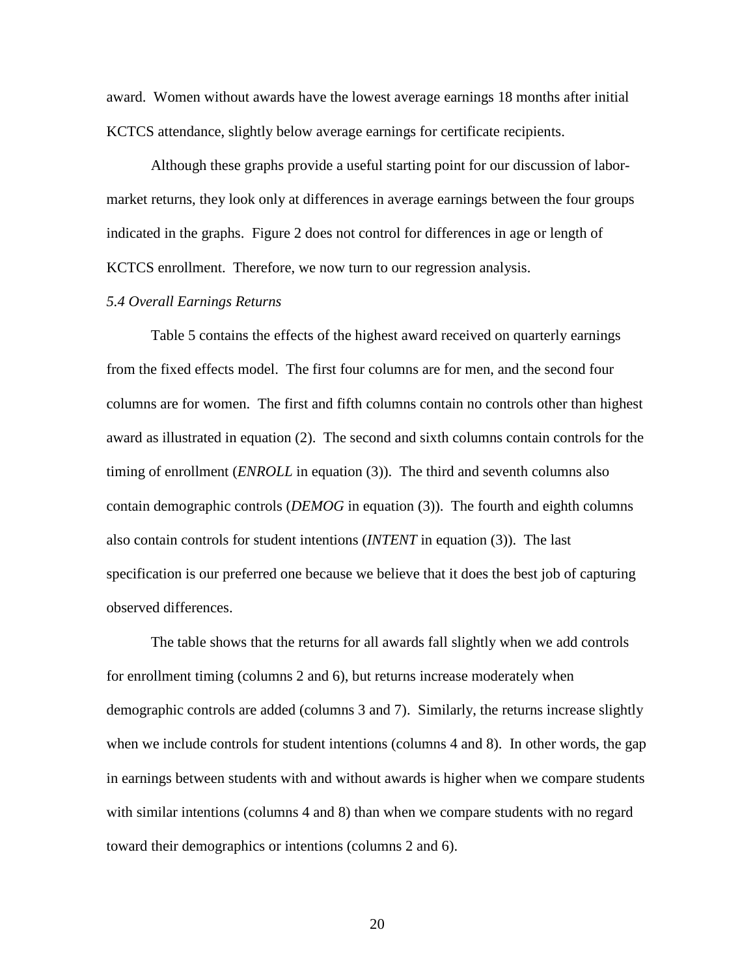award. Women without awards have the lowest average earnings 18 months after initial KCTCS attendance, slightly below average earnings for certificate recipients.

Although these graphs provide a useful starting point for our discussion of labormarket returns, they look only at differences in average earnings between the four groups indicated in the graphs. Figure 2 does not control for differences in age or length of KCTCS enrollment. Therefore, we now turn to our regression analysis.

# *5.4 Overall Earnings Returns*

Table 5 contains the effects of the highest award received on quarterly earnings from the fixed effects model. The first four columns are for men, and the second four columns are for women. The first and fifth columns contain no controls other than highest award as illustrated in equation (2). The second and sixth columns contain controls for the timing of enrollment (*ENROLL* in equation (3)). The third and seventh columns also contain demographic controls (*DEMOG* in equation (3)). The fourth and eighth columns also contain controls for student intentions (*INTENT* in equation (3)). The last specification is our preferred one because we believe that it does the best job of capturing observed differences.

The table shows that the returns for all awards fall slightly when we add controls for enrollment timing (columns 2 and 6), but returns increase moderately when demographic controls are added (columns 3 and 7). Similarly, the returns increase slightly when we include controls for student intentions (columns 4 and 8). In other words, the gap in earnings between students with and without awards is higher when we compare students with similar intentions (columns 4 and 8) than when we compare students with no regard toward their demographics or intentions (columns 2 and 6).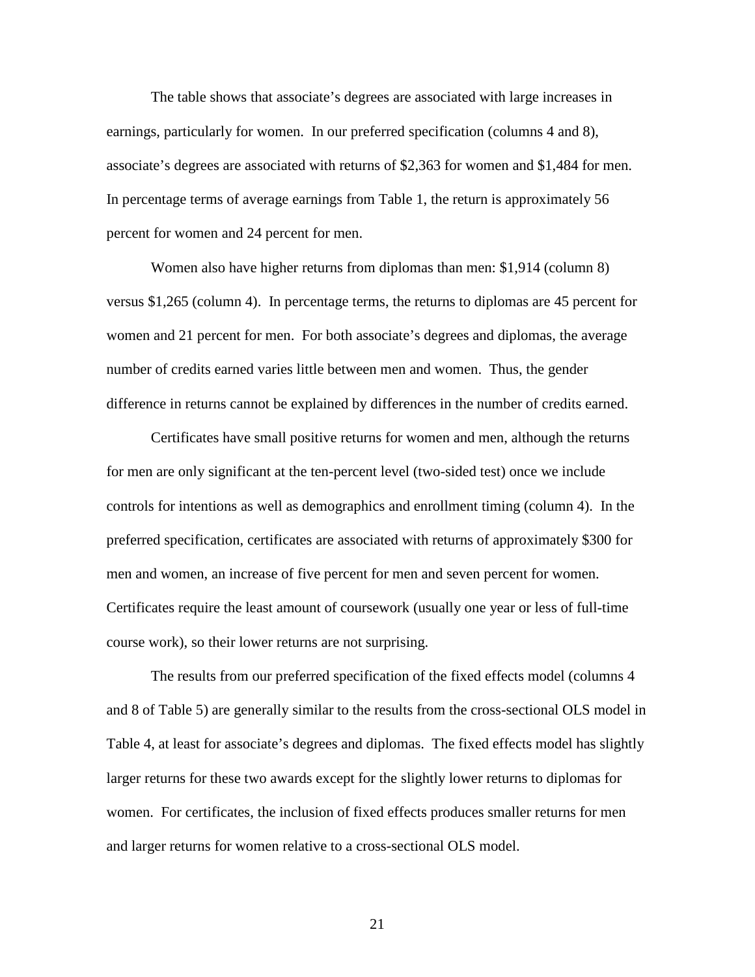The table shows that associate's degrees are associated with large increases in earnings, particularly for women. In our preferred specification (columns 4 and 8), associate's degrees are associated with returns of \$2,363 for women and \$1,484 for men. In percentage terms of average earnings from Table 1, the return is approximately 56 percent for women and 24 percent for men.

Women also have higher returns from diplomas than men: \$1,914 (column 8) versus \$1,265 (column 4). In percentage terms, the returns to diplomas are 45 percent for women and 21 percent for men. For both associate's degrees and diplomas, the average number of credits earned varies little between men and women. Thus, the gender difference in returns cannot be explained by differences in the number of credits earned.

Certificates have small positive returns for women and men, although the returns for men are only significant at the ten-percent level (two-sided test) once we include controls for intentions as well as demographics and enrollment timing (column 4). In the preferred specification, certificates are associated with returns of approximately \$300 for men and women, an increase of five percent for men and seven percent for women. Certificates require the least amount of coursework (usually one year or less of full-time course work), so their lower returns are not surprising.

The results from our preferred specification of the fixed effects model (columns 4 and 8 of Table 5) are generally similar to the results from the cross-sectional OLS model in Table 4, at least for associate's degrees and diplomas. The fixed effects model has slightly larger returns for these two awards except for the slightly lower returns to diplomas for women. For certificates, the inclusion of fixed effects produces smaller returns for men and larger returns for women relative to a cross-sectional OLS model.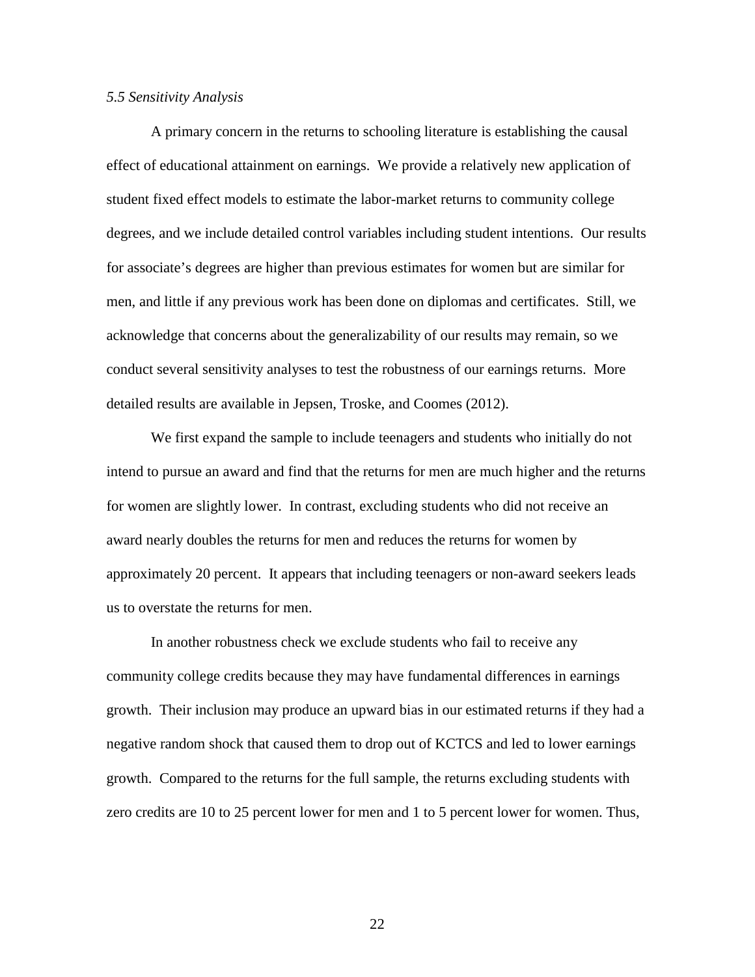#### *5.5 Sensitivity Analysis*

A primary concern in the returns to schooling literature is establishing the causal effect of educational attainment on earnings. We provide a relatively new application of student fixed effect models to estimate the labor-market returns to community college degrees, and we include detailed control variables including student intentions. Our results for associate's degrees are higher than previous estimates for women but are similar for men, and little if any previous work has been done on diplomas and certificates. Still, we acknowledge that concerns about the generalizability of our results may remain, so we conduct several sensitivity analyses to test the robustness of our earnings returns. More detailed results are available in Jepsen, Troske, and Coomes (2012).

We first expand the sample to include teenagers and students who initially do not intend to pursue an award and find that the returns for men are much higher and the returns for women are slightly lower. In contrast, excluding students who did not receive an award nearly doubles the returns for men and reduces the returns for women by approximately 20 percent. It appears that including teenagers or non-award seekers leads us to overstate the returns for men.

In another robustness check we exclude students who fail to receive any community college credits because they may have fundamental differences in earnings growth. Their inclusion may produce an upward bias in our estimated returns if they had a negative random shock that caused them to drop out of KCTCS and led to lower earnings growth. Compared to the returns for the full sample, the returns excluding students with zero credits are 10 to 25 percent lower for men and 1 to 5 percent lower for women. Thus,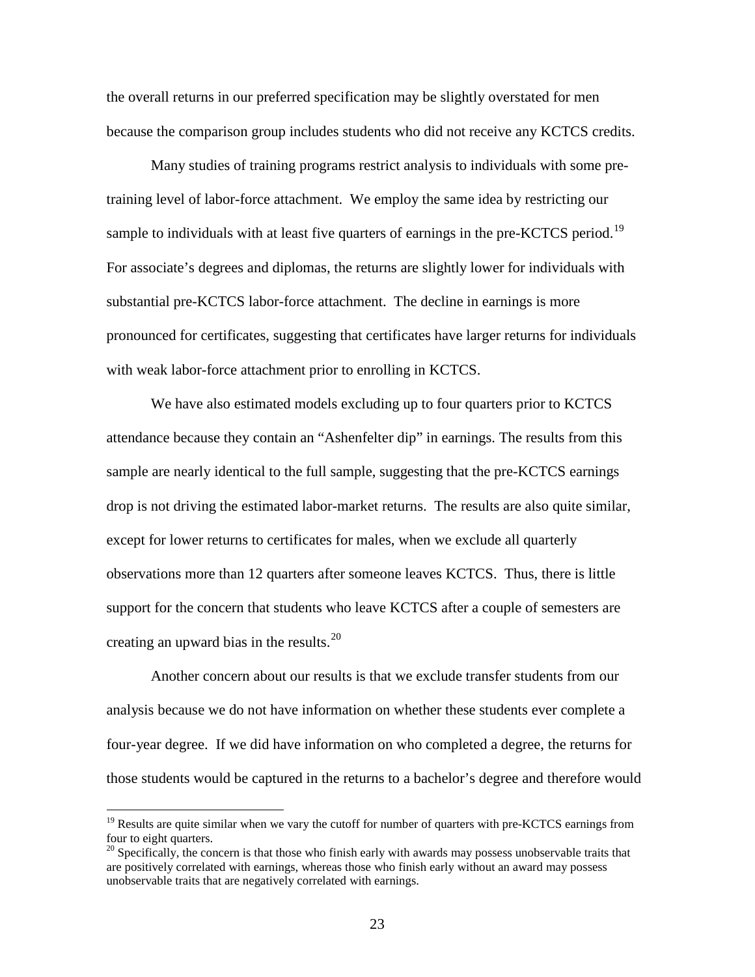the overall returns in our preferred specification may be slightly overstated for men because the comparison group includes students who did not receive any KCTCS credits.

Many studies of training programs restrict analysis to individuals with some pretraining level of labor-force attachment. We employ the same idea by restricting our sample to individuals with at least five quarters of earnings in the pre-KCTCS period.<sup>[19](#page-23-0)</sup> For associate's degrees and diplomas, the returns are slightly lower for individuals with substantial pre-KCTCS labor-force attachment. The decline in earnings is more pronounced for certificates, suggesting that certificates have larger returns for individuals with weak labor-force attachment prior to enrolling in KCTCS.

We have also estimated models excluding up to four quarters prior to KCTCS attendance because they contain an "Ashenfelter dip" in earnings. The results from this sample are nearly identical to the full sample, suggesting that the pre-KCTCS earnings drop is not driving the estimated labor-market returns. The results are also quite similar, except for lower returns to certificates for males, when we exclude all quarterly observations more than 12 quarters after someone leaves KCTCS. Thus, there is little support for the concern that students who leave KCTCS after a couple of semesters are creating an upward bias in the results.<sup>[20](#page-23-1)</sup>

Another concern about our results is that we exclude transfer students from our analysis because we do not have information on whether these students ever complete a four-year degree. If we did have information on who completed a degree, the returns for those students would be captured in the returns to a bachelor's degree and therefore would

<span id="page-23-0"></span> $19$  Results are quite similar when we vary the cutoff for number of quarters with pre-KCTCS earnings from four to eight quarters.

<span id="page-23-1"></span><sup>&</sup>lt;sup>20</sup> Specifically, the concern is that those who finish early with awards may possess unobservable traits that are positively correlated with earnings, whereas those who finish early without an award may possess unobservable traits that are negatively correlated with earnings.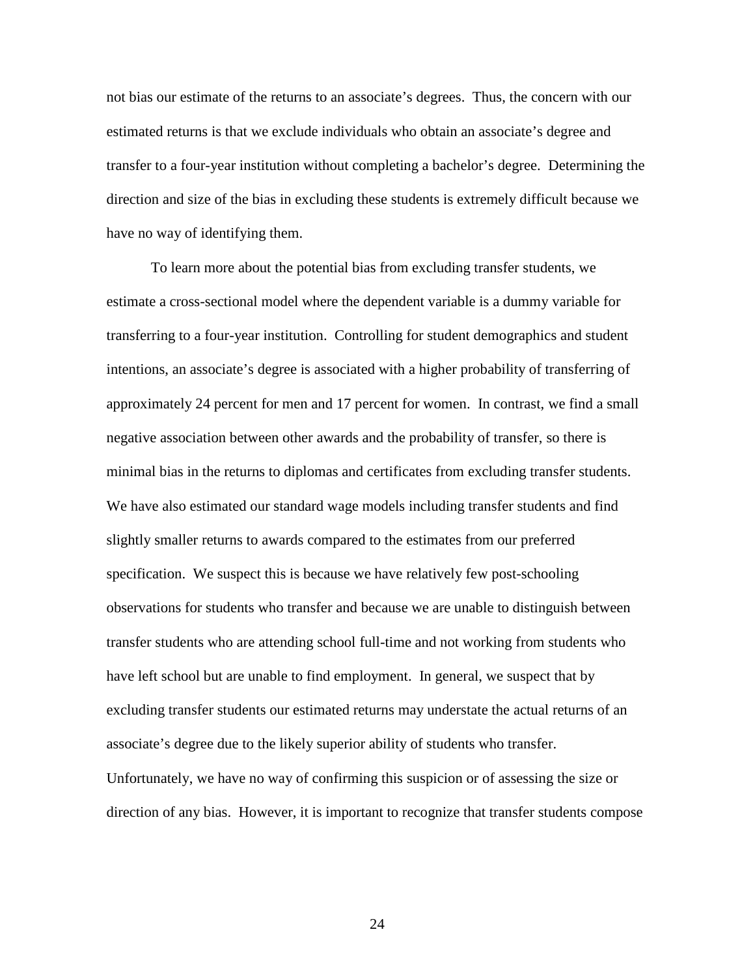not bias our estimate of the returns to an associate's degrees. Thus, the concern with our estimated returns is that we exclude individuals who obtain an associate's degree and transfer to a four-year institution without completing a bachelor's degree. Determining the direction and size of the bias in excluding these students is extremely difficult because we have no way of identifying them.

To learn more about the potential bias from excluding transfer students, we estimate a cross-sectional model where the dependent variable is a dummy variable for transferring to a four-year institution. Controlling for student demographics and student intentions, an associate's degree is associated with a higher probability of transferring of approximately 24 percent for men and 17 percent for women. In contrast, we find a small negative association between other awards and the probability of transfer, so there is minimal bias in the returns to diplomas and certificates from excluding transfer students. We have also estimated our standard wage models including transfer students and find slightly smaller returns to awards compared to the estimates from our preferred specification. We suspect this is because we have relatively few post-schooling observations for students who transfer and because we are unable to distinguish between transfer students who are attending school full-time and not working from students who have left school but are unable to find employment. In general, we suspect that by excluding transfer students our estimated returns may understate the actual returns of an associate's degree due to the likely superior ability of students who transfer. Unfortunately, we have no way of confirming this suspicion or of assessing the size or direction of any bias. However, it is important to recognize that transfer students compose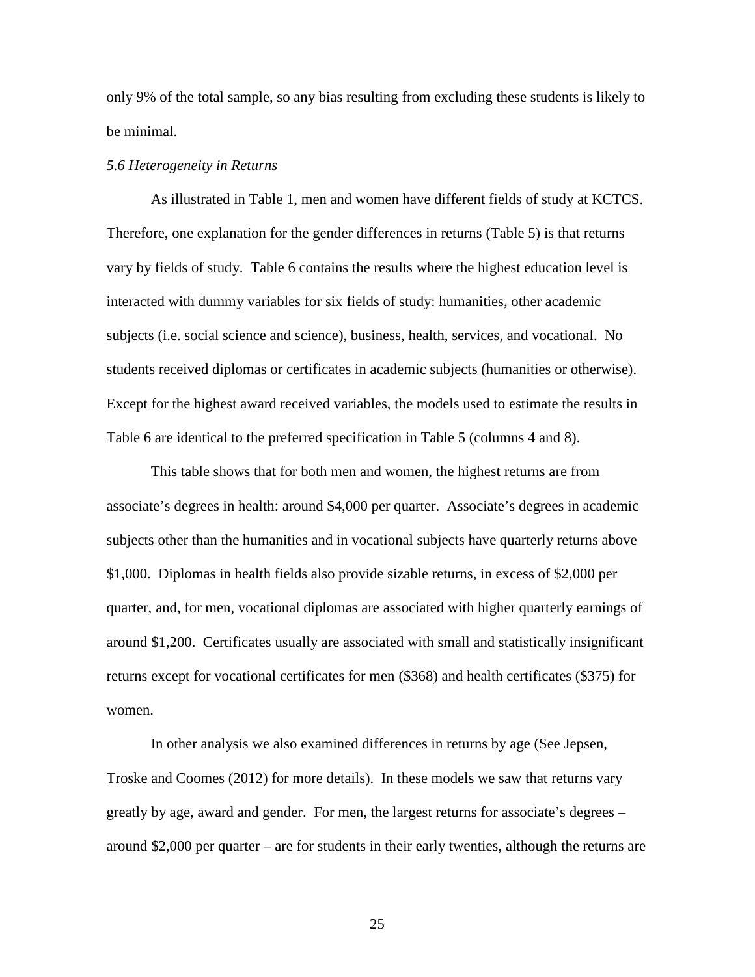only 9% of the total sample, so any bias resulting from excluding these students is likely to be minimal.

#### *5.6 Heterogeneity in Returns*

As illustrated in Table 1, men and women have different fields of study at KCTCS. Therefore, one explanation for the gender differences in returns (Table 5) is that returns vary by fields of study. Table 6 contains the results where the highest education level is interacted with dummy variables for six fields of study: humanities, other academic subjects (i.e. social science and science), business, health, services, and vocational. No students received diplomas or certificates in academic subjects (humanities or otherwise). Except for the highest award received variables, the models used to estimate the results in Table 6 are identical to the preferred specification in Table 5 (columns 4 and 8).

This table shows that for both men and women, the highest returns are from associate's degrees in health: around \$4,000 per quarter. Associate's degrees in academic subjects other than the humanities and in vocational subjects have quarterly returns above \$1,000. Diplomas in health fields also provide sizable returns, in excess of \$2,000 per quarter, and, for men, vocational diplomas are associated with higher quarterly earnings of around \$1,200. Certificates usually are associated with small and statistically insignificant returns except for vocational certificates for men (\$368) and health certificates (\$375) for women.

In other analysis we also examined differences in returns by age (See Jepsen, Troske and Coomes (2012) for more details). In these models we saw that returns vary greatly by age, award and gender. For men, the largest returns for associate's degrees – around \$2,000 per quarter – are for students in their early twenties, although the returns are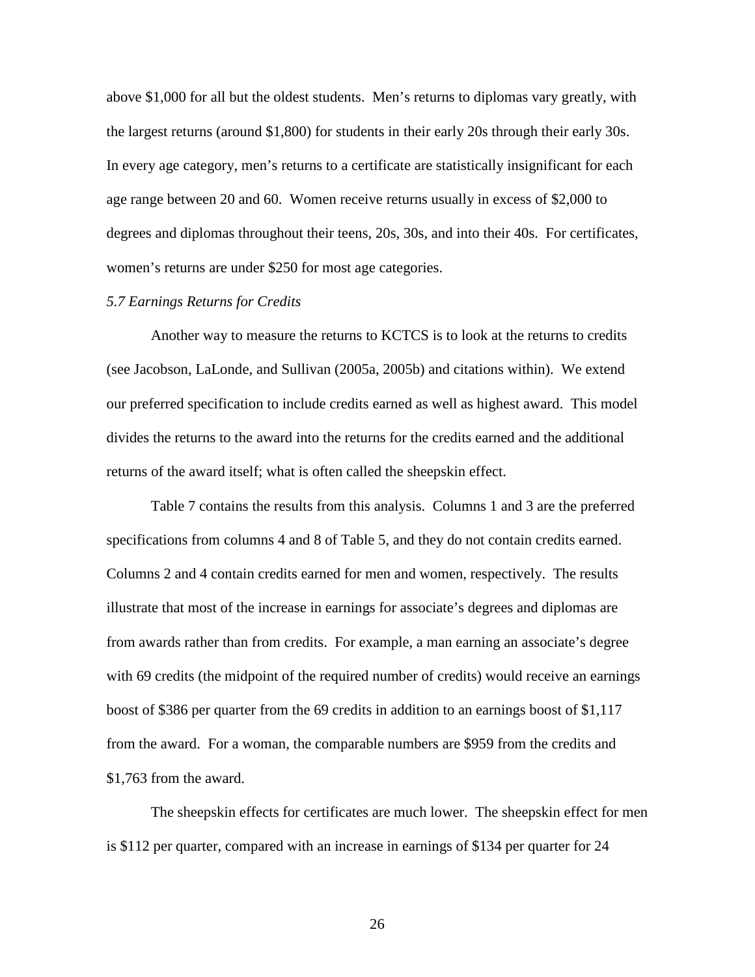above \$1,000 for all but the oldest students. Men's returns to diplomas vary greatly, with the largest returns (around \$1,800) for students in their early 20s through their early 30s. In every age category, men's returns to a certificate are statistically insignificant for each age range between 20 and 60. Women receive returns usually in excess of \$2,000 to degrees and diplomas throughout their teens, 20s, 30s, and into their 40s. For certificates, women's returns are under \$250 for most age categories.

# *5.7 Earnings Returns for Credits*

Another way to measure the returns to KCTCS is to look at the returns to credits (see Jacobson, LaLonde, and Sullivan (2005a, 2005b) and citations within). We extend our preferred specification to include credits earned as well as highest award. This model divides the returns to the award into the returns for the credits earned and the additional returns of the award itself; what is often called the sheepskin effect.

Table 7 contains the results from this analysis. Columns 1 and 3 are the preferred specifications from columns 4 and 8 of Table 5, and they do not contain credits earned. Columns 2 and 4 contain credits earned for men and women, respectively. The results illustrate that most of the increase in earnings for associate's degrees and diplomas are from awards rather than from credits. For example, a man earning an associate's degree with 69 credits (the midpoint of the required number of credits) would receive an earnings boost of \$386 per quarter from the 69 credits in addition to an earnings boost of \$1,117 from the award. For a woman, the comparable numbers are \$959 from the credits and \$1,763 from the award.

The sheepskin effects for certificates are much lower. The sheepskin effect for men is \$112 per quarter, compared with an increase in earnings of \$134 per quarter for 24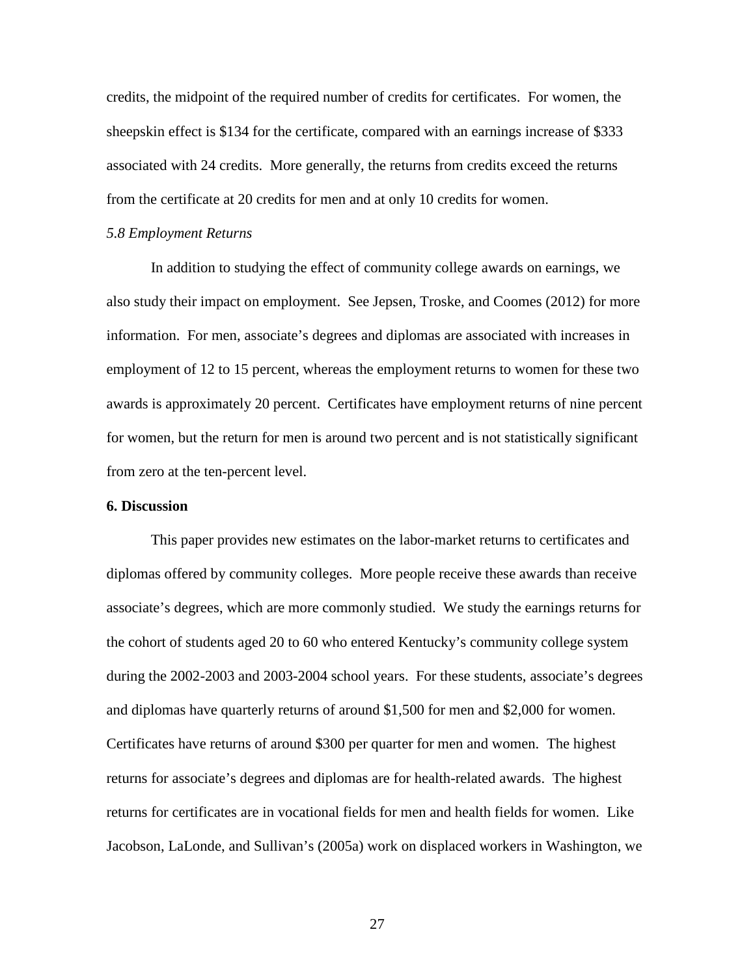credits, the midpoint of the required number of credits for certificates. For women, the sheepskin effect is \$134 for the certificate, compared with an earnings increase of \$333 associated with 24 credits. More generally, the returns from credits exceed the returns from the certificate at 20 credits for men and at only 10 credits for women.

#### *5.8 Employment Returns*

In addition to studying the effect of community college awards on earnings, we also study their impact on employment. See Jepsen, Troske, and Coomes (2012) for more information. For men, associate's degrees and diplomas are associated with increases in employment of 12 to 15 percent, whereas the employment returns to women for these two awards is approximately 20 percent. Certificates have employment returns of nine percent for women, but the return for men is around two percent and is not statistically significant from zero at the ten-percent level.

# **6. Discussion**

This paper provides new estimates on the labor-market returns to certificates and diplomas offered by community colleges. More people receive these awards than receive associate's degrees, which are more commonly studied. We study the earnings returns for the cohort of students aged 20 to 60 who entered Kentucky's community college system during the 2002-2003 and 2003-2004 school years. For these students, associate's degrees and diplomas have quarterly returns of around \$1,500 for men and \$2,000 for women. Certificates have returns of around \$300 per quarter for men and women. The highest returns for associate's degrees and diplomas are for health-related awards. The highest returns for certificates are in vocational fields for men and health fields for women. Like Jacobson, LaLonde, and Sullivan's (2005a) work on displaced workers in Washington, we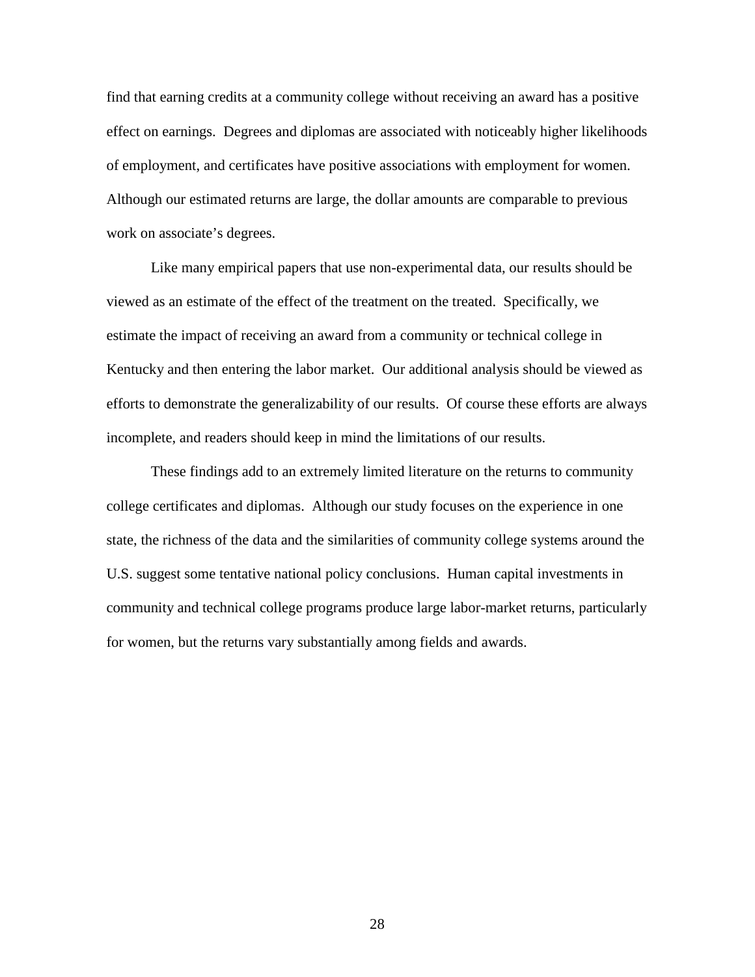find that earning credits at a community college without receiving an award has a positive effect on earnings. Degrees and diplomas are associated with noticeably higher likelihoods of employment, and certificates have positive associations with employment for women. Although our estimated returns are large, the dollar amounts are comparable to previous work on associate's degrees.

Like many empirical papers that use non-experimental data, our results should be viewed as an estimate of the effect of the treatment on the treated. Specifically, we estimate the impact of receiving an award from a community or technical college in Kentucky and then entering the labor market. Our additional analysis should be viewed as efforts to demonstrate the generalizability of our results. Of course these efforts are always incomplete, and readers should keep in mind the limitations of our results.

These findings add to an extremely limited literature on the returns to community college certificates and diplomas. Although our study focuses on the experience in one state, the richness of the data and the similarities of community college systems around the U.S. suggest some tentative national policy conclusions. Human capital investments in community and technical college programs produce large labor-market returns, particularly for women, but the returns vary substantially among fields and awards.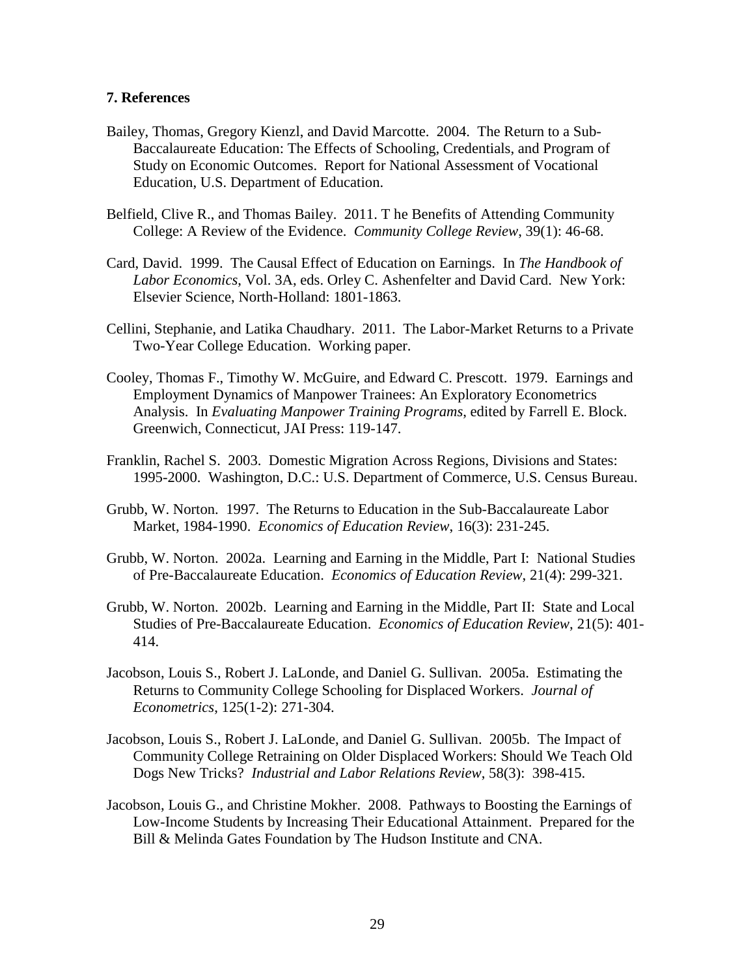# **7. References**

- Bailey, Thomas, Gregory Kienzl, and David Marcotte. 2004. The Return to a Sub-Baccalaureate Education: The Effects of Schooling, Credentials, and Program of Study on Economic Outcomes. Report for National Assessment of Vocational Education, U.S. Department of Education.
- Belfield, Clive R., and Thomas Bailey. 2011. T he Benefits of Attending Community College: A Review of the Evidence. *Community College Review*, 39(1): 46-68.
- Card, David. 1999. The Causal Effect of Education on Earnings. In *The Handbook of Labor Economics*, Vol. 3A, eds. Orley C. Ashenfelter and David Card. New York: Elsevier Science, North-Holland: 1801-1863.
- Cellini, Stephanie, and Latika Chaudhary. 2011. The Labor-Market Returns to a Private Two-Year College Education. Working paper.
- Cooley, Thomas F., Timothy W. McGuire, and Edward C. Prescott. 1979. Earnings and Employment Dynamics of Manpower Trainees: An Exploratory Econometrics Analysis. In *Evaluating Manpower Training Programs*, edited by Farrell E. Block. Greenwich, Connecticut, JAI Press: 119-147.
- Franklin, Rachel S. 2003. Domestic Migration Across Regions, Divisions and States: 1995-2000. Washington, D.C.: U.S. Department of Commerce, U.S. Census Bureau.
- Grubb, W. Norton. 1997. The Returns to Education in the Sub-Baccalaureate Labor Market, 1984-1990. *Economics of Education Review*, 16(3): 231-245.
- Grubb, W. Norton. 2002a. Learning and Earning in the Middle, Part I: National Studies of Pre-Baccalaureate Education. *Economics of Education Review*, 21(4): 299-321.
- Grubb, W. Norton. 2002b. Learning and Earning in the Middle, Part II: State and Local Studies of Pre-Baccalaureate Education. *Economics of Education Review*, 21(5): 401- 414.
- Jacobson, Louis S., Robert J. LaLonde, and Daniel G. Sullivan. 2005a. Estimating the Returns to Community College Schooling for Displaced Workers. *Journal of Econometrics*, 125(1-2): 271-304.
- Jacobson, Louis S., Robert J. LaLonde, and Daniel G. Sullivan. 2005b. The Impact of Community College Retraining on Older Displaced Workers: Should We Teach Old Dogs New Tricks? *Industrial and Labor Relations Review*, 58(3): 398-415.
- Jacobson, Louis G., and Christine Mokher. 2008. Pathways to Boosting the Earnings of Low-Income Students by Increasing Their Educational Attainment. Prepared for the Bill & Melinda Gates Foundation by The Hudson Institute and CNA.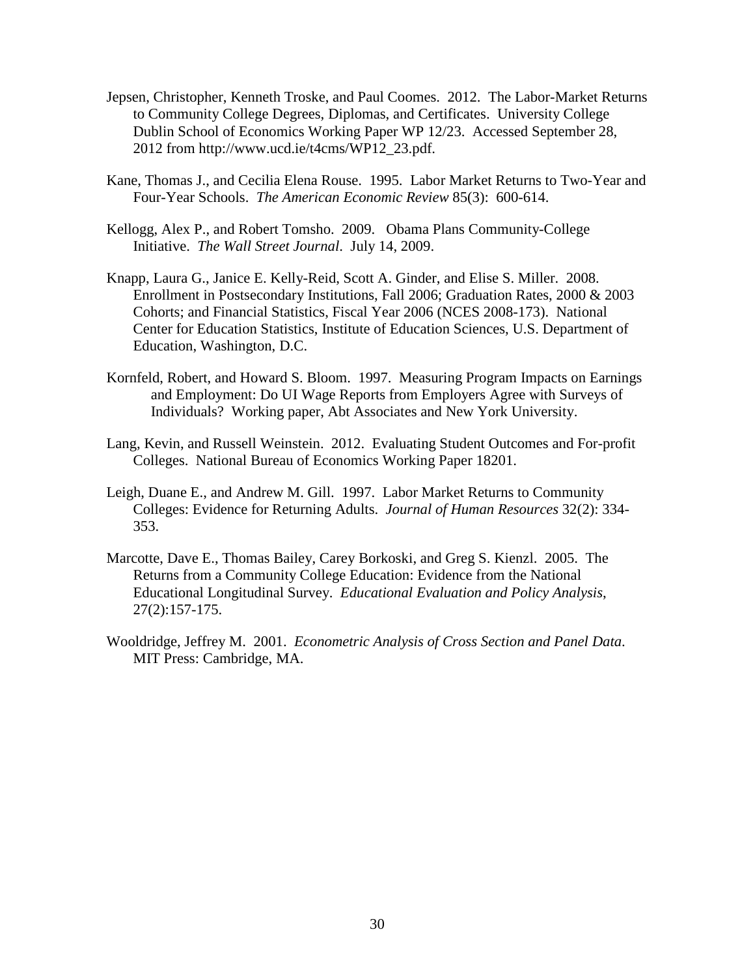- Jepsen, Christopher, Kenneth Troske, and Paul Coomes. 2012. The Labor-Market Returns to Community College Degrees, Diplomas, and Certificates. University College Dublin School of Economics Working Paper WP 12/23. Accessed September 28, 2012 from http://www.ucd.ie/t4cms/WP12\_23.pdf.
- Kane, Thomas J., and Cecilia Elena Rouse. 1995. Labor Market Returns to Two-Year and Four-Year Schools. *The American Economic Review* 85(3): 600-614.
- Kellogg, Alex P., and Robert Tomsho. 2009. Obama Plans Community-College Initiative. *The Wall Street Journal*. July 14, 2009.
- Knapp, Laura G., Janice E. Kelly-Reid, Scott A. Ginder, and Elise S. Miller. 2008. Enrollment in Postsecondary Institutions, Fall 2006; Graduation Rates, 2000 & 2003 Cohorts; and Financial Statistics, Fiscal Year 2006 (NCES 2008-173). National Center for Education Statistics, Institute of Education Sciences, U.S. Department of Education, Washington, D.C.
- Kornfeld, Robert, and Howard S. Bloom. 1997. Measuring Program Impacts on Earnings and Employment: Do UI Wage Reports from Employers Agree with Surveys of Individuals? Working paper, Abt Associates and New York University.
- Lang, Kevin, and Russell Weinstein. 2012. Evaluating Student Outcomes and For-profit Colleges. National Bureau of Economics Working Paper 18201.
- Leigh, Duane E., and Andrew M. Gill. 1997. Labor Market Returns to Community Colleges: Evidence for Returning Adults. *Journal of Human Resources* 32(2): 334- 353.
- Marcotte, Dave E., Thomas Bailey, Carey Borkoski, and Greg S. Kienzl. 2005. The Returns from a Community College Education: Evidence from the National Educational Longitudinal Survey. *Educational Evaluation and Policy Analysis*, 27(2):157-175.
- Wooldridge, Jeffrey M. 2001. *Econometric Analysis of Cross Section and Panel Data*. MIT Press: Cambridge, MA.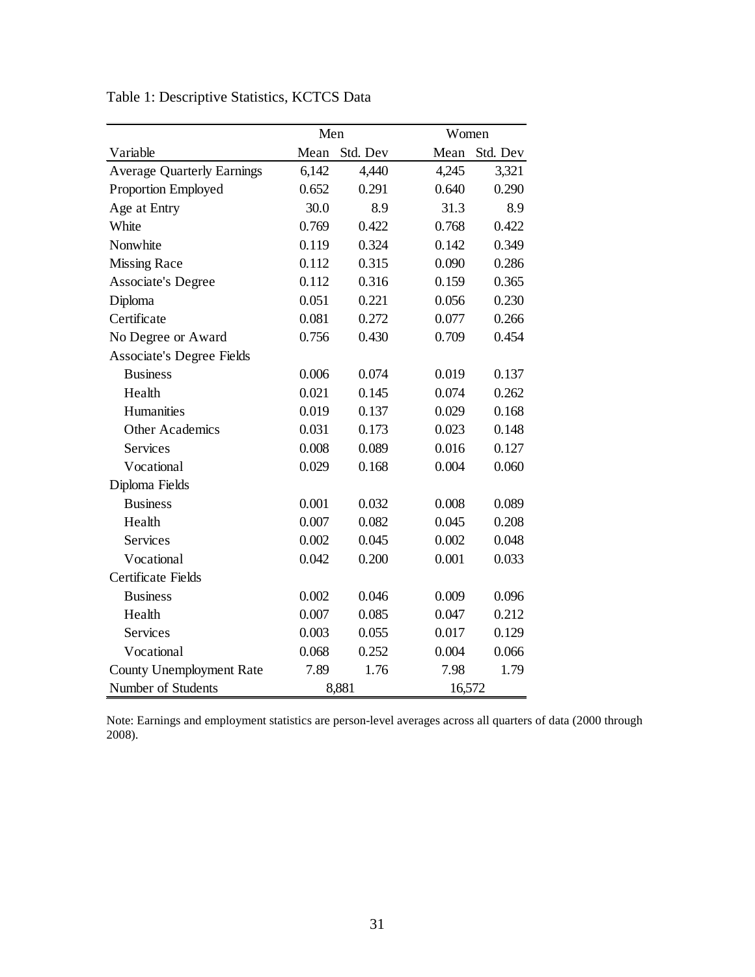|                                   | Men   |          |        | Women    |  |
|-----------------------------------|-------|----------|--------|----------|--|
| Variable                          | Mean  | Std. Dev | Mean   | Std. Dev |  |
| <b>Average Quarterly Earnings</b> | 6,142 | 4,440    | 4,245  | 3,321    |  |
| <b>Proportion Employed</b>        | 0.652 | 0.291    | 0.640  | 0.290    |  |
| Age at Entry                      | 30.0  | 8.9      | 31.3   | 8.9      |  |
| White                             | 0.769 | 0.422    | 0.768  | 0.422    |  |
| Nonwhite                          | 0.119 | 0.324    | 0.142  | 0.349    |  |
| <b>Missing Race</b>               | 0.112 | 0.315    | 0.090  | 0.286    |  |
| <b>Associate's Degree</b>         | 0.112 | 0.316    | 0.159  | 0.365    |  |
| Diploma                           | 0.051 | 0.221    | 0.056  | 0.230    |  |
| Certificate                       | 0.081 | 0.272    | 0.077  | 0.266    |  |
| No Degree or Award                | 0.756 | 0.430    | 0.709  | 0.454    |  |
| <b>Associate's Degree Fields</b>  |       |          |        |          |  |
| <b>Business</b>                   | 0.006 | 0.074    | 0.019  | 0.137    |  |
| Health                            | 0.021 | 0.145    | 0.074  | 0.262    |  |
| Humanities                        | 0.019 | 0.137    | 0.029  | 0.168    |  |
| <b>Other Academics</b>            | 0.031 | 0.173    | 0.023  | 0.148    |  |
| Services                          | 0.008 | 0.089    | 0.016  | 0.127    |  |
| Vocational                        | 0.029 | 0.168    | 0.004  | 0.060    |  |
| Diploma Fields                    |       |          |        |          |  |
| <b>Business</b>                   | 0.001 | 0.032    | 0.008  | 0.089    |  |
| Health                            | 0.007 | 0.082    | 0.045  | 0.208    |  |
| <b>Services</b>                   | 0.002 | 0.045    | 0.002  | 0.048    |  |
| Vocational                        | 0.042 | 0.200    | 0.001  | 0.033    |  |
| Certificate Fields                |       |          |        |          |  |
| <b>Business</b>                   | 0.002 | 0.046    | 0.009  | 0.096    |  |
| Health                            | 0.007 | 0.085    | 0.047  | 0.212    |  |
| <b>Services</b>                   | 0.003 | 0.055    | 0.017  | 0.129    |  |
| Vocational                        | 0.068 | 0.252    | 0.004  | 0.066    |  |
| <b>County Unemployment Rate</b>   | 7.89  | 1.76     | 7.98   | 1.79     |  |
| Number of Students                |       | 8,881    | 16,572 |          |  |

Table 1: Descriptive Statistics, KCTCS Data

Note: Earnings and employment statistics are person-level averages across all quarters of data (2000 through 2008).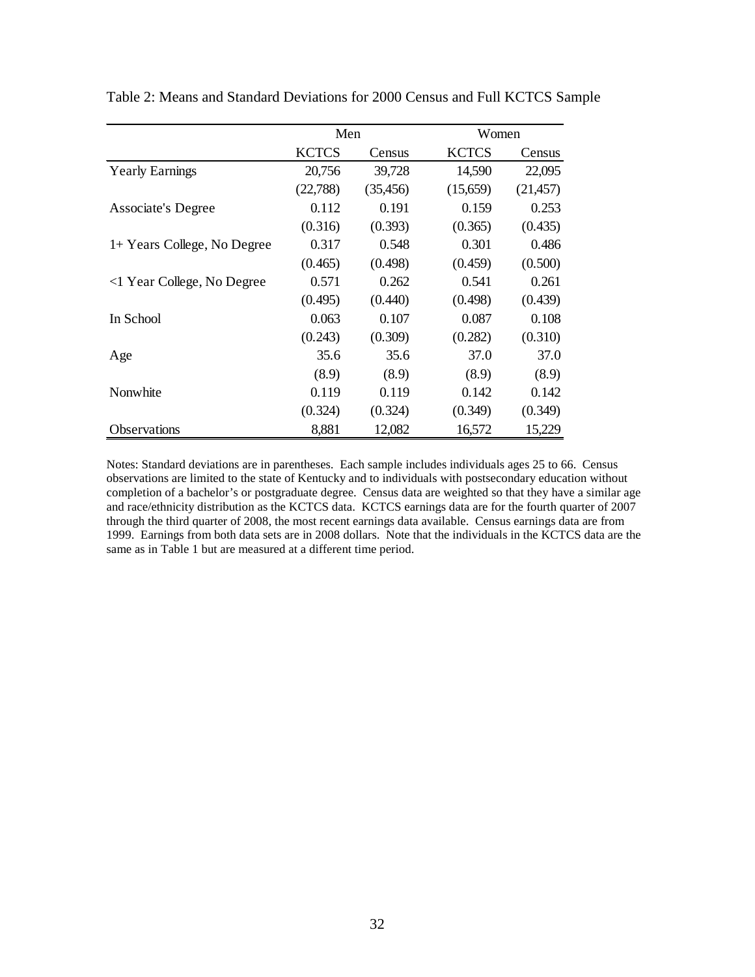|                             | Men          |           | Women        |           |
|-----------------------------|--------------|-----------|--------------|-----------|
|                             | <b>KCTCS</b> | Census    | <b>KCTCS</b> | Census    |
| <b>Yearly Earnings</b>      | 20,756       | 39,728    | 14,590       | 22,095    |
|                             | (22,788)     | (35, 456) | (15,659)     | (21, 457) |
| <b>Associate's Degree</b>   | 0.112        | 0.191     | 0.159        | 0.253     |
|                             | (0.316)      | (0.393)   | (0.365)      | (0.435)   |
| 1+ Years College, No Degree | 0.317        | 0.548     | 0.301        | 0.486     |
|                             | (0.465)      | (0.498)   | (0.459)      | (0.500)   |
| <1 Year College, No Degree  | 0.571        | 0.262     | 0.541        | 0.261     |
|                             | (0.495)      | (0.440)   | (0.498)      | (0.439)   |
| In School                   | 0.063        | 0.107     | 0.087        | 0.108     |
|                             | (0.243)      | (0.309)   | (0.282)      | (0.310)   |
| Age                         | 35.6         | 35.6      | 37.0         | 37.0      |
|                             | (8.9)        | (8.9)     | (8.9)        | (8.9)     |
| Nonwhite                    | 0.119        | 0.119     | 0.142        | 0.142     |
|                             | (0.324)      | (0.324)   | (0.349)      | (0.349)   |
| <b>Observations</b>         | 8,881        | 12,082    | 16,572       | 15,229    |

Table 2: Means and Standard Deviations for 2000 Census and Full KCTCS Sample

Notes: Standard deviations are in parentheses. Each sample includes individuals ages 25 to 66. Census observations are limited to the state of Kentucky and to individuals with postsecondary education without completion of a bachelor's or postgraduate degree. Census data are weighted so that they have a similar age and race/ethnicity distribution as the KCTCS data. KCTCS earnings data are for the fourth quarter of 2007 through the third quarter of 2008, the most recent earnings data available. Census earnings data are from 1999. Earnings from both data sets are in 2008 dollars. Note that the individuals in the KCTCS data are the same as in Table 1 but are measured at a different time period.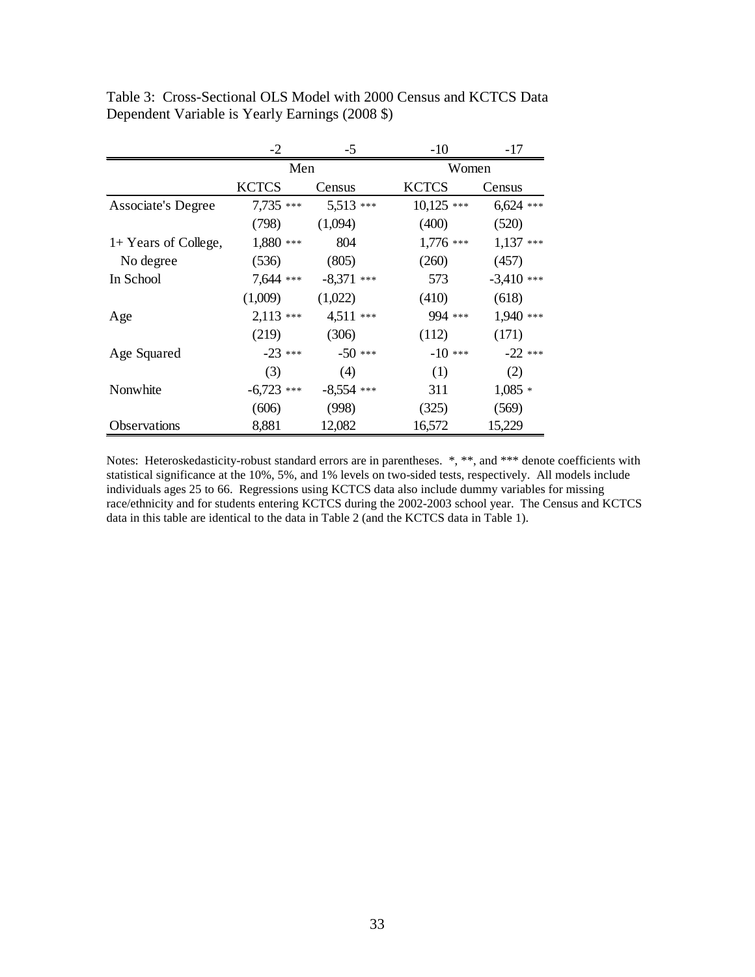|                           | $-2$         | -5           | $-10$        | -17          |
|---------------------------|--------------|--------------|--------------|--------------|
|                           | Men          |              | Women        |              |
|                           | <b>KCTCS</b> | Census       | <b>KCTCS</b> | Census       |
| <b>Associate's Degree</b> | 7,735 ***    | 5,513 ***    | $10,125$ *** | $6,624$ ***  |
|                           | (798)        | (1,094)      | (400)        | (520)        |
| 1+ Years of College,      | 1,880 ***    | 804          | $1,776$ ***  | $1,137$ ***  |
| No degree                 | (536)        | (805)        | (260)        | (457)        |
| In School                 | 7,644 ***    | $-8,371$ *** | 573          | $-3,410$ *** |
|                           | (1,009)      | (1,022)      | (410)        | (618)        |
| Age                       | $2,113$ ***  | 4,511 ***    | 994 ***      | 1,940 ***    |
|                           | (219)        | (306)        | (112)        | (171)        |
| Age Squared               | $-23$ ***    | $-50$ ***    | $-10$ ***    | $-22$ ***    |
|                           | (3)          | (4)          | (1)          | (2)          |
| Nonwhite                  | $-6,723$ *** | $-8,554$ *** | 311          | $1,085*$     |
|                           | (606)        | (998)        | (325)        | (569)        |
| Observations              | 8,881        | 12,082       | 16,572       | 15,229       |

Table 3: Cross-Sectional OLS Model with 2000 Census and KCTCS Data Dependent Variable is Yearly Earnings (2008 \$)

Notes: Heteroskedasticity-robust standard errors are in parentheses. \*, \*\*, and \*\*\* denote coefficients with statistical significance at the 10%, 5%, and 1% levels on two-sided tests, respectively. All models include individuals ages 25 to 66. Regressions using KCTCS data also include dummy variables for missing race/ethnicity and for students entering KCTCS during the 2002-2003 school year. The Census and KCTCS data in this table are identical to the data in Table 2 (and the KCTCS data in Table 1).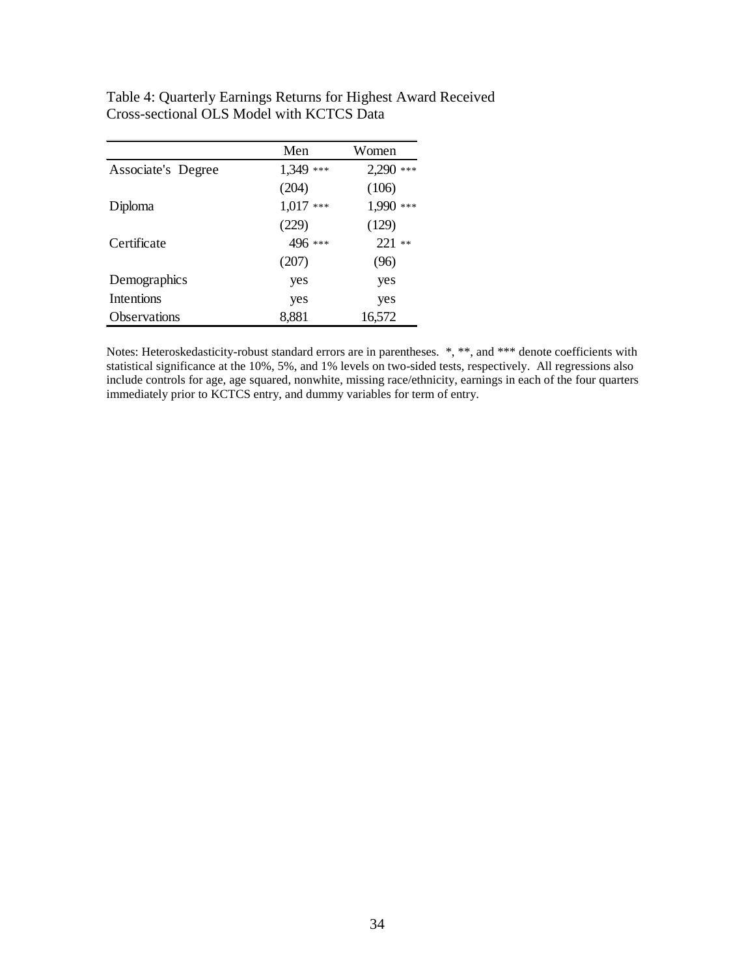|                    | Men          | Women        |
|--------------------|--------------|--------------|
| Associate's Degree | 1,349<br>*** | 2,290<br>*** |
|                    | (204)        | (106)        |
| Diploma            | $1,017$ ***  | 1,990 ***    |
|                    | (229)        | (129)        |
| Certificate        | 496 ***      | $221**$      |
|                    | (207)        | (96)         |
| Demographics       | yes          | yes          |
| <b>Intentions</b>  | yes          | yes          |
| Observations       | 8,881        | 16,572       |

Table 4: Quarterly Earnings Returns for Highest Award Received Cross-sectional OLS Model with KCTCS Data

Notes: Heteroskedasticity-robust standard errors are in parentheses. \*, \*\*, and \*\*\* denote coefficients with statistical significance at the 10%, 5%, and 1% levels on two-sided tests, respectively. All regressions also include controls for age, age squared, nonwhite, missing race/ethnicity, earnings in each of the four quarters immediately prior to KCTCS entry, and dummy variables for term of entry.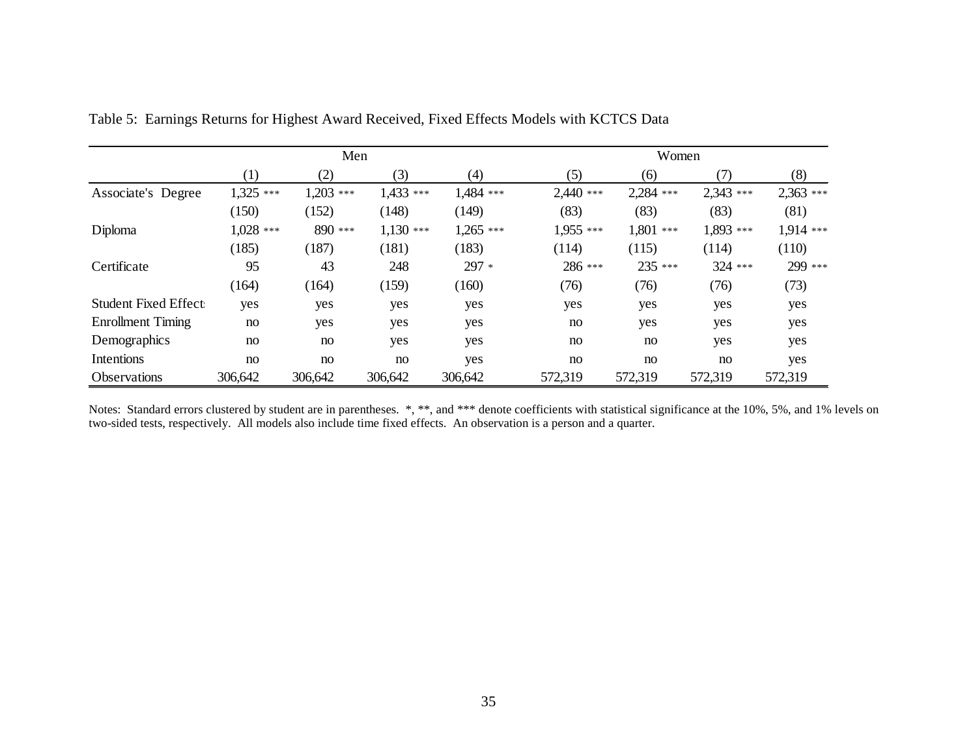|                             | Men              |             |             |             | Women       |             |           |             |
|-----------------------------|------------------|-------------|-------------|-------------|-------------|-------------|-----------|-------------|
|                             | $\left(1\right)$ | (2)         | (3)         | (4)         | (5)         | (6)         | (7)       | (8)         |
| Associate's Degree          | $1,325$ ***      | $1,203$ *** | 1,433 ***   | 1,484 ***   | $2,440$ *** | 2,284 ***   | 2,343 *** | $2,363$ *** |
|                             | (150)            | (152)       | (148)       | (149)       | (83)        | (83)        | (83)      | (81)        |
| Diploma                     | $1,028$ ***      | 890 ***     | $1,130$ *** | $1,265$ *** | 1,955 ***   | $1,801$ *** | 1,893 *** | 1,914 ***   |
|                             | (185)            | (187)       | (181)       | (183)       | (114)       | (115)       | (114)     | (110)       |
| Certificate                 | 95               | 43          | 248         | 297 *       | 286 ***     | 235 ***     | 324 ***   | 299 ***     |
|                             | (164)            | (164)       | (159)       | (160)       | (76)        | (76)        | (76)      | (73)        |
| <b>Student Fixed Effect</b> | yes              | yes         | yes         | yes         | yes         | yes         | yes       | yes         |
| <b>Enrollment Timing</b>    | no               | yes         | yes         | yes         | no          | yes         | yes       | yes         |
| Demographics                | no               | no          | yes         | yes         | no          | no          | yes       | yes         |
| Intentions                  | no               | no          | no          | yes         | no          | no          | no        | yes         |
| Observations                | 306,642          | 306,642     | 306,642     | 306,642     | 572,319     | 572,319     | 572,319   | 572,319     |

Table 5: Earnings Returns for Highest Award Received, Fixed Effects Models with KCTCS Data

Notes: Standard errors clustered by student are in parentheses. \*, \*\*, and \*\*\* denote coefficients with statistical significance at the 10%, 5%, and 1% levels on two-sided tests, respectively. All models also include time fixed effects. An observation is a person and a quarter.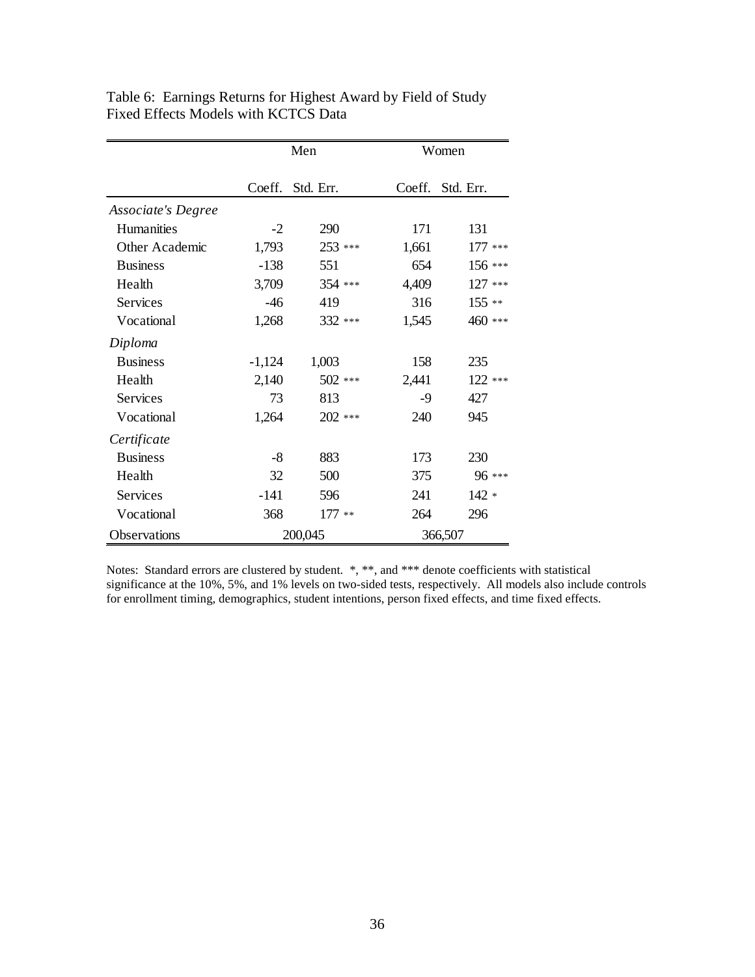|                           | Men      |           |         | Women     |
|---------------------------|----------|-----------|---------|-----------|
|                           | Coeff.   | Std. Err. | Coeff.  | Std. Err. |
| <b>Associate's Degree</b> |          |           |         |           |
| <b>Humanities</b>         | $-2$     | 290       | 171     | 131       |
| Other Academic            | 1,793    | 253 ***   | 1,661   | $177***$  |
| <b>Business</b>           | $-138$   | 551       | 654     | 156 ***   |
| Health                    | 3,709    | 354 ***   | 4,409   | $127***$  |
| Services                  | $-46$    | 419       | 316     | $155**$   |
| Vocational                | 1,268    | 332 ***   | 1,545   | 460 ***   |
| Diploma                   |          |           |         |           |
| <b>Business</b>           | $-1,124$ | 1,003     | 158     | 235       |
| Health                    | 2,140    | 502 ***   | 2,441   | 122 ***   |
| Services                  | 73       | 813       | $-9$    | 427       |
| Vocational                | 1,264    | 202 ***   | 240     | 945       |
| Certificate               |          |           |         |           |
| <b>Business</b>           | $-8$     | 883       | 173     | 230       |
| Health                    | 32       | 500       | 375     | 96 ***    |
| Services                  | $-141$   | 596       | 241     | $142 *$   |
| Vocational                | 368      | $177**$   | 264     | 296       |
| Observations              | 200,045  |           | 366,507 |           |

Table 6: Earnings Returns for Highest Award by Field of Study Fixed Effects Models with KCTCS Data

Notes: Standard errors are clustered by student. \*, \*\*, and \*\*\* denote coefficients with statistical significance at the 10%, 5%, and 1% levels on two-sided tests, respectively. All models also include controls for enrollment timing, demographics, student intentions, person fixed effects, and time fixed effects.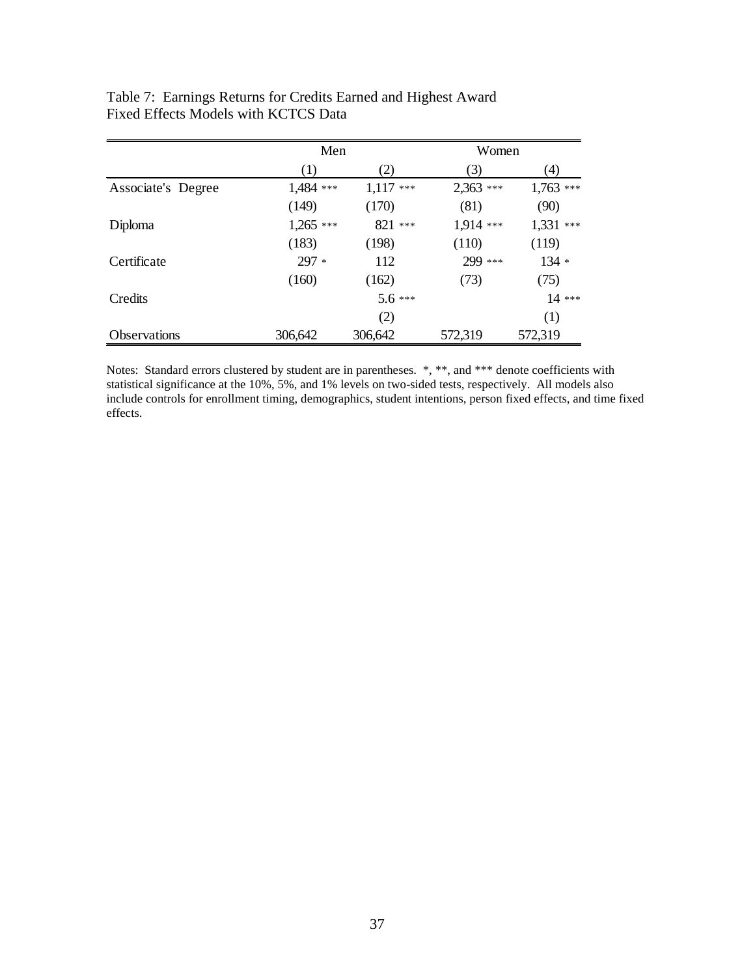|                     |             | Men         |           | Women       |
|---------------------|-------------|-------------|-----------|-------------|
|                     | (1)         | (2)         | (3)       | (4)         |
| Associate's Degree  | 1,484 ***   | $1,117$ *** | 2,363 *** | $1,763$ *** |
|                     | (149)       | (170)       | (81)      | (90)        |
| Diploma             | $1,265$ *** | 821 ***     | 1,914 *** | $1,331$ *** |
|                     | (183)       | (198)       | (110)     | (119)       |
| Certificate         | $297 *$     | 112         | 299 ***   | $134 *$     |
|                     | (160)       | (162)       | (73)      | (75)        |
| Credits             |             | $5.6***$    |           | $14***$     |
|                     |             | (2)         |           | (1)         |
| <b>Observations</b> | 306,642     | 306,642     | 572,319   | 572,319     |

# Table 7: Earnings Returns for Credits Earned and Highest Award Fixed Effects Models with KCTCS Data

Notes: Standard errors clustered by student are in parentheses. \*, \*\*, and \*\*\* denote coefficients with statistical significance at the 10%, 5%, and 1% levels on two-sided tests, respectively. All models also include controls for enrollment timing, demographics, student intentions, person fixed effects, and time fixed effects.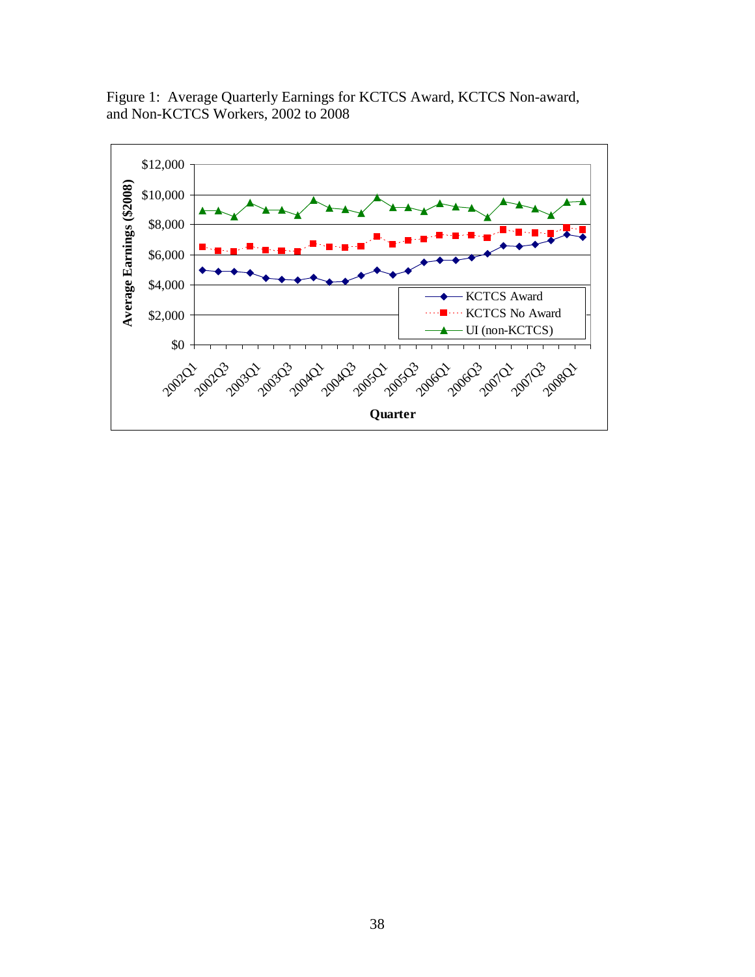Figure 1: Average Quarterly Earnings for KCTCS Award, KCTCS Non-award, and Non-KCTCS Workers, 2002 to 2008